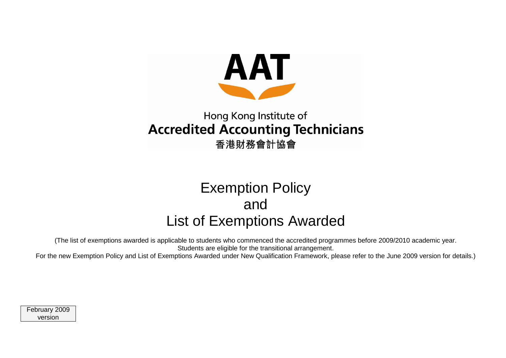

## Hong Kong Institute of **Accredited Accounting Technicians** 香港財務會計協會

# Exemption Policy and List of Exemptions Awarded

(The list of exemptions awarded is applicable to students who commenced the accredited programmes before 2009/2010 academic year. Students are eligible for the transitional arrangement.

For the new Exemption Policy and List of Exemptions Awarded under New Qualification Framework, please refer to the June 2009 version for details.)

February 2009 version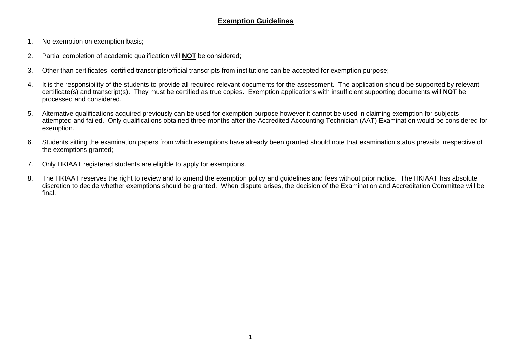#### **Exemption Guidelines**

- 1. No exemption on exemption basis;
- 2. Partial completion of academic qualification will **NOT** be considered;
- 3. Other than certificates, certified transcripts/official transcripts from institutions can be accepted for exemption purpose;
- 4. It is the responsibility of the students to provide all required relevant documents for the assessment. The application should be supported by relevant certificate(s) and transcript(s). They must be certified as true copies. Exemption applications with insufficient supporting documents will **NOT** be processed and considered.
- 5. Alternative qualifications acquired previously can be used for exemption purpose however it cannot be used in claiming exemption for subjects attempted and failed. Only qualifications obtained three months after the Accredited Accounting Technician (AAT) Examination would be considered for exemption.
- 6. Students sitting the examination papers from which exemptions have already been granted should note that examination status prevails irrespective of the exemptions granted;
- 7. Only HKIAAT registered students are eligible to apply for exemptions.
- 8. The HKIAAT reserves the right to review and to amend the exemption policy and guidelines and fees without prior notice. The HKIAAT has absolute discretion to decide whether exemptions should be granted. When dispute arises, the decision of the Examination and Accreditation Committee will be final.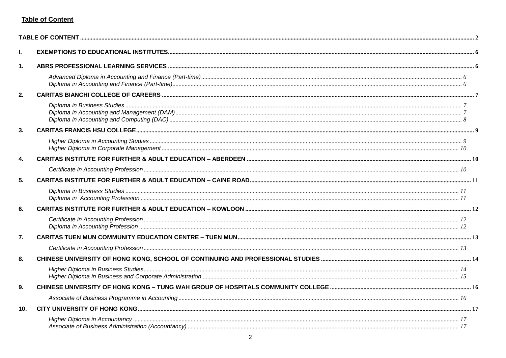#### <span id="page-2-0"></span>**Table of Content**

| ı.              |  |
|-----------------|--|
| 1.              |  |
|                 |  |
| 2.              |  |
|                 |  |
| 3.              |  |
|                 |  |
| $\mathbf{4}$    |  |
|                 |  |
| 5.              |  |
|                 |  |
| 6.              |  |
|                 |  |
| 7.              |  |
|                 |  |
| 8.              |  |
|                 |  |
| 9 <sub>1</sub>  |  |
|                 |  |
| 10 <sub>1</sub> |  |
|                 |  |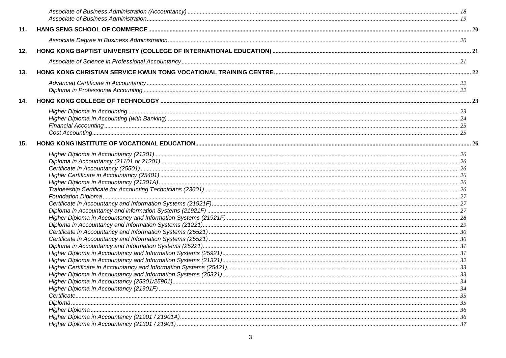| 11. |  |
|-----|--|
|     |  |
| 12. |  |
|     |  |
| 13. |  |
|     |  |
| 14. |  |
|     |  |
| 15. |  |
|     |  |
|     |  |
|     |  |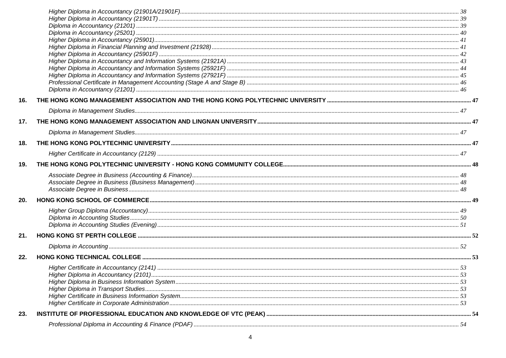| 16. |  |
|-----|--|
|     |  |
| 17. |  |
|     |  |
| 18. |  |
|     |  |
| 19. |  |
|     |  |
|     |  |
|     |  |
| 20. |  |
|     |  |
|     |  |
|     |  |
| 21. |  |
|     |  |
| 22. |  |
|     |  |
|     |  |
|     |  |
|     |  |
|     |  |
| 23. |  |
|     |  |
|     |  |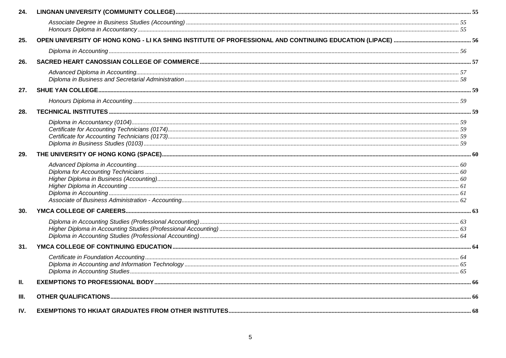| 24.  |  |
|------|--|
|      |  |
| 25.  |  |
|      |  |
| 26.  |  |
|      |  |
| 27.  |  |
|      |  |
| 28.  |  |
|      |  |
| 29.  |  |
|      |  |
| 30.  |  |
|      |  |
| 31.  |  |
|      |  |
| Ш.   |  |
| III. |  |
| IV.  |  |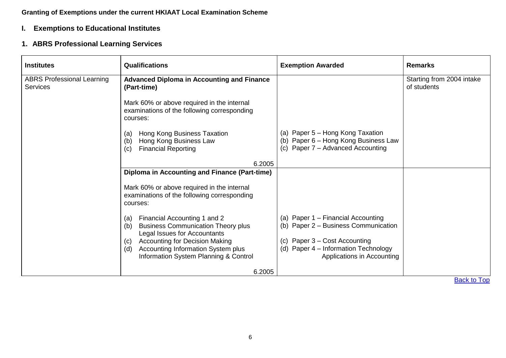#### **Granting of Exemptions under the current HKIAAT Local Examination Scheme**

#### <span id="page-6-0"></span>**I. Exemptions to Educational Institutes**

#### <span id="page-6-1"></span>**1. ABRS Professional Learning Services**

<span id="page-6-3"></span><span id="page-6-2"></span>

| <b>Institutes</b>                                    | <b>Qualifications</b>                                                                                                   | <b>Exemption Awarded</b>                                                                                      | <b>Remarks</b>                           |
|------------------------------------------------------|-------------------------------------------------------------------------------------------------------------------------|---------------------------------------------------------------------------------------------------------------|------------------------------------------|
| <b>ABRS Professional Learning</b><br><b>Services</b> | <b>Advanced Diploma in Accounting and Finance</b><br>(Part-time)                                                        |                                                                                                               | Starting from 2004 intake<br>of students |
|                                                      | Mark 60% or above required in the internal<br>examinations of the following corresponding<br>courses:                   |                                                                                                               |                                          |
|                                                      | Hong Kong Business Taxation<br>(a)<br>Hong Kong Business Law<br>(b)<br><b>Financial Reporting</b><br>(c)                | (a) Paper 5 – Hong Kong Taxation<br>(b) Paper 6 - Hong Kong Business Law<br>(c) Paper 7 - Advanced Accounting |                                          |
|                                                      | 6.2005                                                                                                                  |                                                                                                               |                                          |
|                                                      | <b>Diploma in Accounting and Finance (Part-time)</b>                                                                    |                                                                                                               |                                          |
|                                                      | Mark 60% or above required in the internal<br>examinations of the following corresponding<br>courses:                   |                                                                                                               |                                          |
|                                                      | Financial Accounting 1 and 2<br>(a)<br><b>Business Communication Theory plus</b><br>(b)<br>Legal Issues for Accountants | (a) Paper 1 – Financial Accounting<br>(b) Paper 2 - Business Communication                                    |                                          |
|                                                      | <b>Accounting for Decision Making</b><br>(C)                                                                            | (c) Paper 3 – Cost Accounting                                                                                 |                                          |
|                                                      | Accounting Information System plus<br>(d)<br>Information System Planning & Control                                      | (d) Paper 4 - Information Technology<br>Applications in Accounting                                            |                                          |
|                                                      | 6.2005                                                                                                                  |                                                                                                               |                                          |
|                                                      |                                                                                                                         |                                                                                                               | <b>Back to Top</b>                       |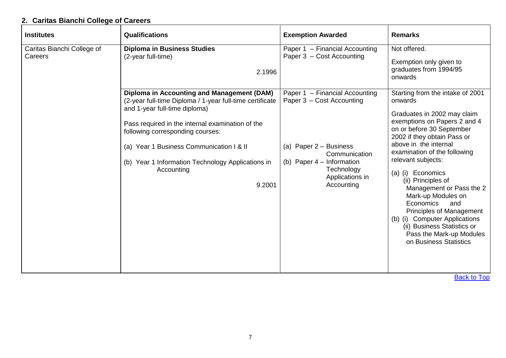## <span id="page-7-0"></span>**2. Caritas Bianchi College of Careers**

<span id="page-7-2"></span><span id="page-7-1"></span>

| <b>Institutes</b>                     | <b>Qualifications</b>                                                                                                                                                                                                | <b>Exemption Awarded</b>                                                                                                   | <b>Remarks</b>                                                                                                                                                                                                                                                                                                                                                                                                                                                            |
|---------------------------------------|----------------------------------------------------------------------------------------------------------------------------------------------------------------------------------------------------------------------|----------------------------------------------------------------------------------------------------------------------------|---------------------------------------------------------------------------------------------------------------------------------------------------------------------------------------------------------------------------------------------------------------------------------------------------------------------------------------------------------------------------------------------------------------------------------------------------------------------------|
| Caritas Bianchi College of<br>Careers | <b>Diploma in Business Studies</b><br>(2-year full-time)<br>2.1996<br><b>Diploma in Accounting and Management (DAM)</b><br>(2-year full-time Diploma / 1-year full-time certificate<br>and 1-year full-time diploma) | Paper 1 - Financial Accounting<br>Paper 3 - Cost Accounting<br>Paper 1 - Financial Accounting<br>Paper 3 - Cost Accounting | Not offered.<br>Exemption only given to<br>graduates from 1994/95<br>onwards<br>Starting from the intake of 2001<br>onwards                                                                                                                                                                                                                                                                                                                                               |
|                                       | Pass required in the internal examination of the<br>following corresponding courses:<br>(a) Year 1 Business Communication I & II<br>(b) Year 1 Information Technology Applications in<br>Accounting<br>9.2001        | (a) Paper 2 - Business<br>Communication<br>(b) Paper $4$ – Information<br>Technology<br>Applications in<br>Accounting      | Graduates in 2002 may claim<br>exemptions on Papers 2 and 4<br>on or before 30 September<br>2002 if they obtain Pass or<br>above in the internal<br>examination of the following<br>relevant subjects:<br>(a) (i) Economics<br>(ii) Principles of<br>Management or Pass the 2<br>Mark-up Modules on<br>Economics<br>and<br>Principles of Management<br>(b) (i) Computer Applications<br>(ii) Business Statistics or<br>Pass the Mark-up Modules<br>on Business Statistics |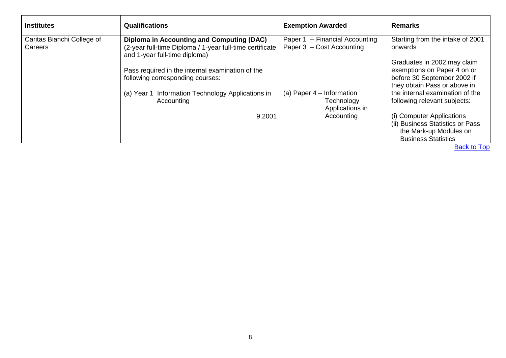<span id="page-8-0"></span>

| <b>Institutes</b>                     | <b>Qualifications</b>                                                                                                                         | <b>Exemption Awarded</b>                                     | <b>Remarks</b>                                                                                                            |
|---------------------------------------|-----------------------------------------------------------------------------------------------------------------------------------------------|--------------------------------------------------------------|---------------------------------------------------------------------------------------------------------------------------|
| Caritas Bianchi College of<br>Careers | <b>Diploma in Accounting and Computing (DAC)</b><br>(2-year full-time Diploma / 1-year full-time certificate<br>and 1-year full-time diploma) | Paper 1 - Financial Accounting<br>Paper 3 - Cost Accounting  | Starting from the intake of 2001<br>onwards                                                                               |
|                                       | Pass required in the internal examination of the<br>following corresponding courses:                                                          |                                                              | Graduates in 2002 may claim<br>exemptions on Paper 4 on or<br>before 30 September 2002 if<br>they obtain Pass or above in |
|                                       | Information Technology Applications in<br>(a) Year 1<br>Accounting                                                                            | (a) Paper $4$ – Information<br>Technology<br>Applications in | the internal examination of the<br>following relevant subjects:                                                           |
|                                       | 9.2001                                                                                                                                        | Accounting                                                   | (i) Computer Applications<br>(ii) Business Statistics or Pass<br>the Mark-up Modules on<br><b>Business Statistics</b>     |
|                                       |                                                                                                                                               |                                                              | <b>Back to Top</b>                                                                                                        |

 $8\phantom{1}$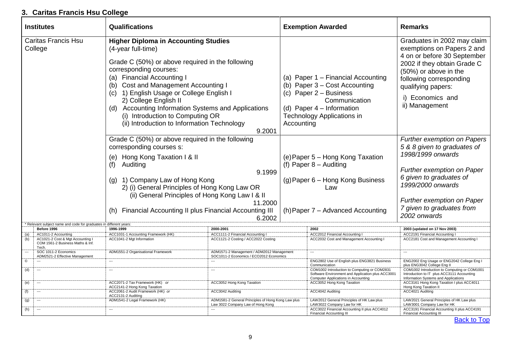#### <span id="page-9-0"></span>**3. Caritas Francis Hsu College**

<span id="page-9-1"></span>

| <b>Institutes</b>                                                                           | Qualifications                                                                                                                                                                                                                                                                                                                                                                                                                                     |                                                                                                |            | <b>Exemption Awarded</b>                                                                                                                                                             | <b>Remarks</b>                                                                                                                                                                                                                                  |
|---------------------------------------------------------------------------------------------|----------------------------------------------------------------------------------------------------------------------------------------------------------------------------------------------------------------------------------------------------------------------------------------------------------------------------------------------------------------------------------------------------------------------------------------------------|------------------------------------------------------------------------------------------------|------------|--------------------------------------------------------------------------------------------------------------------------------------------------------------------------------------|-------------------------------------------------------------------------------------------------------------------------------------------------------------------------------------------------------------------------------------------------|
| <b>Caritas Francis Hsu</b><br>College                                                       | <b>Higher Diploma in Accounting Studies</b><br>(4-year full-time)<br>Grade C (50%) or above required in the following<br>corresponding courses:<br>(a) Financial Accounting I<br><b>Cost and Management Accounting I</b><br>(b)<br>1) English Usage or College English I<br>(c)<br>2) College English II<br>(d) Accounting Information Systems and Applications<br>(i) Introduction to Computing OR<br>(ii) Introduction to Information Technology | 9.2001                                                                                         | Accounting | (a) Paper 1 - Financial Accounting<br>(b) Paper 3 – Cost Accounting<br>(c) Paper $2 -$ Business<br>Communication<br>(d) Paper $4$ – Information<br><b>Technology Applications in</b> | Graduates in 2002 may claim<br>exemptions on Papers 2 and<br>4 on or before 30 September<br>2002 if they obtain Grade C<br>(50%) or above in the<br>following corresponding<br>qualifying papers:<br>i) Economics and<br>ii) Management         |
|                                                                                             | Grade C (50%) or above required in the following<br>corresponding courses s:<br>(e) Hong Kong Taxation I & II<br>Auditing<br>(f)<br>(g) 1) Company Law of Hong Kong<br>2) (i) General Principles of Hong Kong Law OR<br>(ii) General Principles of Hong Kong Law I & II<br>Financial Accounting II plus Financial Accounting III                                                                                                                   | 9.1999<br>11.2000<br>6.2002                                                                    |            | (e) Paper 5 - Hong Kong Taxation<br>(f) Paper $8 -$ Auditing<br>(g) Paper 6 – Hong Kong Business<br>Law<br>(h) Paper 7 - Advanced Accounting                                         | <b>Further exemption on Papers</b><br>5 & 8 given to graduates of<br>1998/1999 onwards<br>Further exemption on Paper<br>6 given to graduates of<br>1999/2000 onwards<br>Further exemption on Paper<br>7 given to graduates from<br>2002 onwards |
| Relevant subject name and code for graduates in different years:                            |                                                                                                                                                                                                                                                                                                                                                                                                                                                    |                                                                                                |            |                                                                                                                                                                                      |                                                                                                                                                                                                                                                 |
| Before 1996<br>AC1011-2 Accounting                                                          | 1996-1999<br>ACC1031-1 Accounting Framework (HK)                                                                                                                                                                                                                                                                                                                                                                                                   | 2000-2001<br>ACC1111-2 Financial Accounting I                                                  |            | 2002<br>ACC2012 Financial Accounting I                                                                                                                                               | 2003 (updated on 17 Nov 2003)<br><b>ACC2191 Financial Accounting I</b>                                                                                                                                                                          |
| (a)<br>AC1021-2 Cost & Mgt Accounting I<br>(b)<br>COM 1561-2 Business Maths & Inf.<br>Tech. | ACC1041-2 Mgt Information                                                                                                                                                                                                                                                                                                                                                                                                                          | ACC1121-2 Costing / ACC2022 Costing                                                            |            | ACC2032 Cost and Management Accounting I                                                                                                                                             | ACC2181 Cost and Management Accounting I                                                                                                                                                                                                        |
| SOC 1011-2 Economics<br>ADM2521-2 Effective Management                                      | ADM1551-2 Organisational Framework                                                                                                                                                                                                                                                                                                                                                                                                                 | ADM1571-2 Management / ADM2012 Management<br>SOC1011-2 Economics / ECO2012 Economics           |            | $\overline{a}$                                                                                                                                                                       |                                                                                                                                                                                                                                                 |
| $^\copyright$<br>$---$                                                                      | $\overline{\phantom{a}}$                                                                                                                                                                                                                                                                                                                                                                                                                           | $\overline{\phantom{a}}$                                                                       |            | ENG2802 Use of English plus ENG3821 Business<br>Communication                                                                                                                        | ENG2002 Eng Usage or ENG2042 College Eng I<br>plus ENG3042 College Eng II                                                                                                                                                                       |
| (d)<br>$\overline{\phantom{a}}$                                                             | $\overline{\phantom{a}}$                                                                                                                                                                                                                                                                                                                                                                                                                           | $\overline{\phantom{a}}$                                                                       |            | COM1002 Introduction to Computing or COM2831<br>Software Environment and Application plus ACC3001<br>Computer Applications in Accounting                                             | COM1002 Introduction to Computing or COM1001<br>Introduction to IT plus ACC3111 Accounting<br>Information Systems and Applications                                                                                                              |
| (e)<br>$---$                                                                                | ACC2071-2 Tax Framework (HK) or<br>ACC2141-2 Hong Kong Taxation                                                                                                                                                                                                                                                                                                                                                                                    | ACC3052 Hong Kong Taxation                                                                     |            | ACC3052 Hong Kong Taxation                                                                                                                                                           | ACC3161 Hong Kong Taxation I plus ACC4011<br>Hong Kong Taxation II                                                                                                                                                                              |
| (f)                                                                                         | ACC2061-2 Audit Framework (HK) or<br>ACC2131-2 Auditing                                                                                                                                                                                                                                                                                                                                                                                            | ACC3042 Auditing                                                                               |            | ACC4042 Auditing                                                                                                                                                                     | ACC4021 Auditing                                                                                                                                                                                                                                |
| (g)<br>$---$<br>(h)<br>$\overline{\phantom{a}}$                                             | ADM1541-2 Legal Framework (HK)<br>$\overline{\phantom{a}}$                                                                                                                                                                                                                                                                                                                                                                                         | ADM1581-2 General Principles of Hong Kong Law plus<br>Law 3022 Company Law of Hong Kong<br>--- |            | LAW2012 General Principles of HK Law plus<br>LAW3022 Company Law for HK<br>ACC3022 Financial Accounting II plus ACC4012<br>Financial Accounting III                                  | LAW2021 General Principles of HK Law plus<br>LAW3001 Company Law for HK<br>ACC3191 Financial Accounting II plus ACC4191<br><b>Financial Accounting III</b>                                                                                      |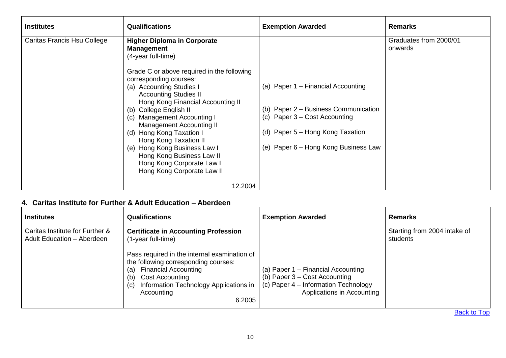<span id="page-10-0"></span>

| <b>Institutes</b>           | <b>Qualifications</b>                                                                                                                                                                                                                                                                                                                                                                                                                                                                                                                    | <b>Exemption Awarded</b>                                                                                                                                                                  | <b>Remarks</b>                    |
|-----------------------------|------------------------------------------------------------------------------------------------------------------------------------------------------------------------------------------------------------------------------------------------------------------------------------------------------------------------------------------------------------------------------------------------------------------------------------------------------------------------------------------------------------------------------------------|-------------------------------------------------------------------------------------------------------------------------------------------------------------------------------------------|-----------------------------------|
| Caritas Francis Hsu College | <b>Higher Diploma in Corporate</b><br><b>Management</b><br>(4-year full-time)<br>Grade C or above required in the following<br>corresponding courses:<br>(a) Accounting Studies I<br><b>Accounting Studies II</b><br>Hong Kong Financial Accounting II<br>College English II<br>(b)<br><b>Management Accounting I</b><br>(C)<br>Management Accounting II<br>Hong Kong Taxation I<br>(d)<br>Hong Kong Taxation II<br>(e) Hong Kong Business Law I<br>Hong Kong Business Law II<br>Hong Kong Corporate Law I<br>Hong Kong Corporate Law II | (a) Paper 1 - Financial Accounting<br>(b) Paper 2 - Business Communication<br>(c) Paper $3 - Cost$ Accounting<br>(d) Paper 5 – Hong Kong Taxation<br>(e) Paper 6 – Hong Kong Business Law | Graduates from 2000/01<br>onwards |
|                             | 12.2004                                                                                                                                                                                                                                                                                                                                                                                                                                                                                                                                  |                                                                                                                                                                                           |                                   |

#### <span id="page-10-1"></span>**4. Caritas Institute for Further & Adult Education – Aberdeen**

<span id="page-10-2"></span>

| <b>Institutes</b>                                                    | <b>Qualifications</b>                                                                                                                                                                                                                                                                                     | <b>Exemption Awarded</b>                                                                                                                    | <b>Remarks</b>                           |
|----------------------------------------------------------------------|-----------------------------------------------------------------------------------------------------------------------------------------------------------------------------------------------------------------------------------------------------------------------------------------------------------|---------------------------------------------------------------------------------------------------------------------------------------------|------------------------------------------|
| Caritas Institute for Further &<br><b>Adult Education - Aberdeen</b> | <b>Certificate in Accounting Profession</b><br>(1-year full-time)<br>Pass required in the internal examination of<br>the following corresponding courses:<br><b>Financial Accounting</b><br>(a)<br><b>Cost Accounting</b><br>(b)<br>Information Technology Applications in<br>(c)<br>Accounting<br>6.2005 | (a) Paper 1 – Financial Accounting<br>(b) Paper $3 - Cost$ Accounting<br>(c) Paper 4 – Information Technology<br>Applications in Accounting | Starting from 2004 intake of<br>students |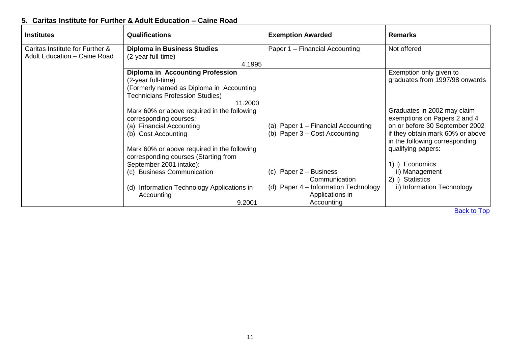## <span id="page-11-0"></span>**5. Caritas Institute for Further & Adult Education – Caine Road**

<span id="page-11-2"></span><span id="page-11-1"></span>

| <b>Institutes</b>                   | <b>Qualifications</b>                       | <b>Exemption Awarded</b>               | <b>Remarks</b>                   |
|-------------------------------------|---------------------------------------------|----------------------------------------|----------------------------------|
| Caritas Institute for Further &     | <b>Diploma in Business Studies</b>          | Paper 1 - Financial Accounting         | Not offered                      |
| <b>Adult Education - Caine Road</b> | (2-year full-time)                          |                                        |                                  |
|                                     | 4.1995                                      |                                        |                                  |
|                                     | <b>Diploma in Accounting Profession</b>     |                                        | Exemption only given to          |
|                                     | (2-year full-time)                          |                                        | graduates from 1997/98 onwards   |
|                                     | (Formerly named as Diploma in Accounting    |                                        |                                  |
|                                     | <b>Technicians Profession Studies)</b>      |                                        |                                  |
|                                     | 11.2000                                     |                                        |                                  |
|                                     | Mark 60% or above required in the following |                                        | Graduates in 2002 may claim      |
|                                     | corresponding courses:                      |                                        | exemptions on Papers 2 and 4     |
|                                     | (a) Financial Accounting                    | (a) Paper 1 – Financial Accounting     | on or before 30 September 2002   |
|                                     | (b) Cost Accounting                         | (b) Paper $3 - Cost$ Accounting        | if they obtain mark 60% or above |
|                                     |                                             |                                        | in the following corresponding   |
|                                     | Mark 60% or above required in the following |                                        | qualifying papers:               |
|                                     | corresponding courses (Starting from        |                                        |                                  |
|                                     | September 2001 intake):                     |                                        | 1) i) Economics                  |
|                                     | (c) Business Communication                  | Paper 2 – Business<br>(C)              | ii) Management                   |
|                                     |                                             | Communication                          | 2) i) Statistics                 |
|                                     | (d) Information Technology Applications in  | (d) Paper $4$ – Information Technology | ii) Information Technology       |
|                                     | Accounting                                  | Applications in                        |                                  |
|                                     | 9.2001                                      | Accounting                             |                                  |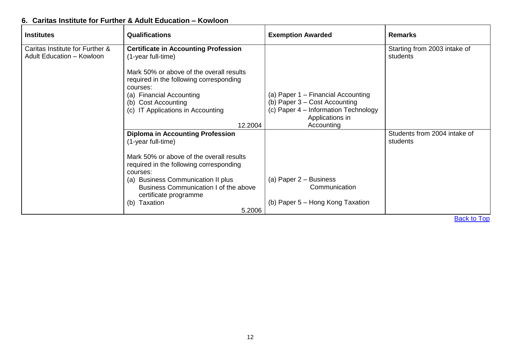### <span id="page-12-0"></span>**6. Caritas Institute for Further & Adult Education – Kowloon**

<span id="page-12-2"></span><span id="page-12-1"></span>

| <b>Institutes</b>                | <b>Qualifications</b>                               | <b>Exemption Awarded</b>                                | <b>Remarks</b>               |
|----------------------------------|-----------------------------------------------------|---------------------------------------------------------|------------------------------|
| Caritas Institute for Further &  | <b>Certificate in Accounting Profession</b>         |                                                         | Starting from 2003 intake of |
| <b>Adult Education - Kowloon</b> | (1-year full-time)                                  |                                                         | students                     |
|                                  | Mark 50% or above of the overall results            |                                                         |                              |
|                                  | required in the following corresponding             |                                                         |                              |
|                                  | courses:                                            |                                                         |                              |
|                                  | (a) Financial Accounting                            | (a) Paper 1 - Financial Accounting                      |                              |
|                                  | (b) Cost Accounting                                 | (b) Paper 3 – Cost Accounting                           |                              |
|                                  | (c) IT Applications in Accounting                   | (c) Paper 4 - Information Technology<br>Applications in |                              |
| 12.2004                          |                                                     | Accounting                                              |                              |
|                                  | <b>Diploma in Accounting Profession</b>             |                                                         | Students from 2004 intake of |
|                                  | (1-year full-time)                                  |                                                         | students                     |
|                                  | Mark 50% or above of the overall results            |                                                         |                              |
|                                  | required in the following corresponding<br>courses: |                                                         |                              |
|                                  | (a) Business Communication II plus                  | (a) Paper 2 – Business                                  |                              |
|                                  | Business Communication I of the above               | Communication                                           |                              |
|                                  | certificate programme                               | (b) Paper 5 – Hong Kong Taxation                        |                              |
|                                  | Taxation<br>(b)<br>5.2006                           |                                                         |                              |
|                                  |                                                     |                                                         | $D = -1$ . $1 - T$ .         |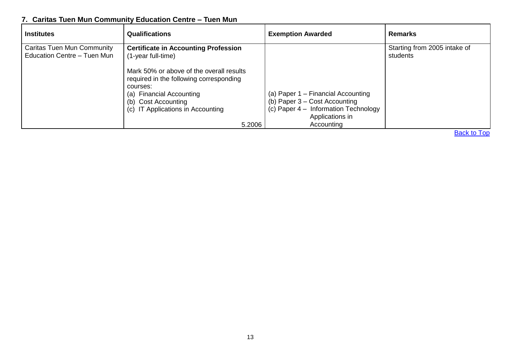## <span id="page-13-0"></span>**7. Caritas Tuen Mun Community Education Centre – Tuen Mun**

<span id="page-13-1"></span>

| <b>Institutes</b>                                                | <b>Qualifications</b>                                                                                                                                                                                | <b>Exemption Awarded</b>                                                                                                                       | <b>Remarks</b>                           |
|------------------------------------------------------------------|------------------------------------------------------------------------------------------------------------------------------------------------------------------------------------------------------|------------------------------------------------------------------------------------------------------------------------------------------------|------------------------------------------|
| <b>Caritas Tuen Mun Community</b><br>Education Centre - Tuen Mun | <b>Certificate in Accounting Profession</b><br>(1-year full-time)                                                                                                                                    |                                                                                                                                                | Starting from 2005 intake of<br>students |
|                                                                  | Mark 50% or above of the overall results<br>required in the following corresponding<br>courses:<br>(a) Financial Accounting<br>(b) Cost Accounting<br>IT Applications in Accounting<br>(C)<br>5.2006 | (a) Paper 1 – Financial Accounting<br>(b) Paper $3 - Cost$ Accounting<br>(c) Paper 4 – Information Technology<br>Applications in<br>Accounting |                                          |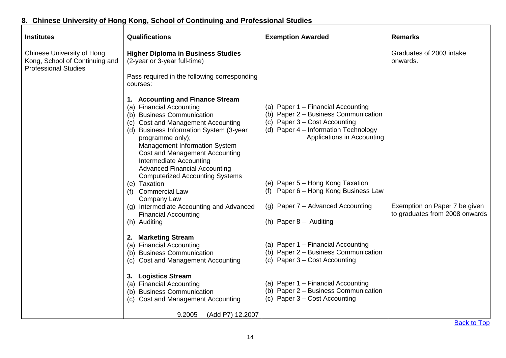## <span id="page-14-0"></span>**8. Chinese University of Hong Kong, School of Continuing and Professional Studies**

<span id="page-14-1"></span>

| <b>Institutes</b>                                                                                  | Qualifications                                                                                                                                                                                                                                                                                                                                                                                                                                                                                              | <b>Exemption Awarded</b>                                                                                                                                                                                                                                                                           | Remarks                              |
|----------------------------------------------------------------------------------------------------|-------------------------------------------------------------------------------------------------------------------------------------------------------------------------------------------------------------------------------------------------------------------------------------------------------------------------------------------------------------------------------------------------------------------------------------------------------------------------------------------------------------|----------------------------------------------------------------------------------------------------------------------------------------------------------------------------------------------------------------------------------------------------------------------------------------------------|--------------------------------------|
| <b>Chinese University of Hong</b><br>Kong, School of Continuing and<br><b>Professional Studies</b> | <b>Higher Diploma in Business Studies</b><br>(2-year or 3-year full-time)<br>Pass required in the following corresponding<br>courses:                                                                                                                                                                                                                                                                                                                                                                       |                                                                                                                                                                                                                                                                                                    | Graduates of 2003 intake<br>onwards. |
|                                                                                                    | 1. Accounting and Finance Stream<br><b>Financial Accounting</b><br>(a)<br>(b) Business Communication<br>(c) Cost and Management Accounting<br>(d) Business Information System (3-year<br>programme only);<br>Management Information System<br><b>Cost and Management Accounting</b><br>Intermediate Accounting<br><b>Advanced Financial Accounting</b><br><b>Computerized Accounting Systems</b><br>(e) Taxation<br><b>Commercial Law</b><br>(f)<br>Company Law<br>(g) Intermediate Accounting and Advanced | (a) Paper 1 - Financial Accounting<br>(b) Paper 2 - Business Communication<br>(c) Paper 3 - Cost Accounting<br>(d) Paper 4 - Information Technology<br>Applications in Accounting<br>(e) Paper 5 - Hong Kong Taxation<br>(f) Paper 6 - Hong Kong Business Law<br>(g) Paper 7 – Advanced Accounting | Exemption on Paper 7 be given        |
|                                                                                                    | <b>Financial Accounting</b><br>(h) Auditing                                                                                                                                                                                                                                                                                                                                                                                                                                                                 | (h) Paper 8 - Auditing                                                                                                                                                                                                                                                                             | to graduates from 2008 onwards       |
|                                                                                                    | 2. Marketing Stream<br><b>Financial Accounting</b><br>(a)<br>(b) Business Communication<br>(c) Cost and Management Accounting                                                                                                                                                                                                                                                                                                                                                                               | (a) Paper 1 - Financial Accounting<br>(b) Paper 2 - Business Communication<br>(c) Paper $3 - Cost$ Accounting                                                                                                                                                                                      |                                      |
|                                                                                                    | 3. Logistics Stream<br>(a) Financial Accounting<br><b>Business Communication</b><br>(b)<br><b>Cost and Management Accounting</b><br>(C)                                                                                                                                                                                                                                                                                                                                                                     | (a) Paper 1 - Financial Accounting<br>(b) Paper 2 - Business Communication<br>(c) Paper 3 - Cost Accounting                                                                                                                                                                                        |                                      |
|                                                                                                    | 9.2005<br>(Add P7) 12.2007                                                                                                                                                                                                                                                                                                                                                                                                                                                                                  |                                                                                                                                                                                                                                                                                                    | <b>Back to Top</b>                   |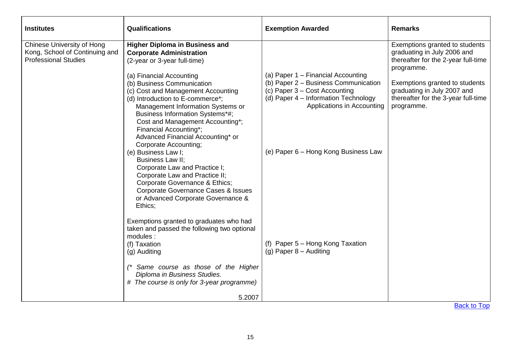<span id="page-15-0"></span>

| <b>Institutes</b>                                                                           | <b>Qualifications</b>                                                                                                                                                                                                                                                                                                                                                                                                                                                                                                                                                                                                                                                                                                                                                                                                                                                                                              | <b>Exemption Awarded</b>                                                                                                                                                                                                                                                                    | <b>Remarks</b>                                                                                                                                                                                                                           |
|---------------------------------------------------------------------------------------------|--------------------------------------------------------------------------------------------------------------------------------------------------------------------------------------------------------------------------------------------------------------------------------------------------------------------------------------------------------------------------------------------------------------------------------------------------------------------------------------------------------------------------------------------------------------------------------------------------------------------------------------------------------------------------------------------------------------------------------------------------------------------------------------------------------------------------------------------------------------------------------------------------------------------|---------------------------------------------------------------------------------------------------------------------------------------------------------------------------------------------------------------------------------------------------------------------------------------------|------------------------------------------------------------------------------------------------------------------------------------------------------------------------------------------------------------------------------------------|
| Chinese University of Hong<br>Kong, School of Continuing and<br><b>Professional Studies</b> | <b>Higher Diploma in Business and</b><br><b>Corporate Administration</b><br>(2-year or 3-year full-time)<br>(a) Financial Accounting<br>(b) Business Communication<br>(c) Cost and Management Accounting<br>(d) Introduction to E-commerce*;<br>Management Information Systems or<br>Business Information Systems*#;<br>Cost and Management Accounting*;<br>Financial Accounting*;<br>Advanced Financial Accounting* or<br>Corporate Accounting;<br>(e) Business Law I;<br>Business Law II;<br>Corporate Law and Practice I;<br>Corporate Law and Practice II;<br>Corporate Governance & Ethics;<br><b>Corporate Governance Cases &amp; Issues</b><br>or Advanced Corporate Governance &<br>Ethics;<br>Exemptions granted to graduates who had<br>taken and passed the following two optional<br>modules:<br>(f) Taxation<br>(g) Auditing<br>(* Same course as those of the Higher<br>Diploma in Business Studies. | (a) Paper 1 - Financial Accounting<br>(b) Paper 2 - Business Communication<br>(c) Paper 3 – Cost Accounting<br>(d) Paper 4 - Information Technology<br>Applications in Accounting<br>(e) Paper 6 – Hong Kong Business Law<br>(f) Paper 5 - Hong Kong Taxation<br>$(g)$ Paper $8 -$ Auditing | Exemptions granted to students<br>graduating in July 2006 and<br>thereafter for the 2-year full-time<br>programme.<br>Exemptions granted to students<br>graduating in July 2007 and<br>thereafter for the 3-year full-time<br>programme. |
|                                                                                             | # The course is only for 3-year programme)                                                                                                                                                                                                                                                                                                                                                                                                                                                                                                                                                                                                                                                                                                                                                                                                                                                                         |                                                                                                                                                                                                                                                                                             |                                                                                                                                                                                                                                          |
|                                                                                             | 5.2007                                                                                                                                                                                                                                                                                                                                                                                                                                                                                                                                                                                                                                                                                                                                                                                                                                                                                                             |                                                                                                                                                                                                                                                                                             |                                                                                                                                                                                                                                          |
|                                                                                             |                                                                                                                                                                                                                                                                                                                                                                                                                                                                                                                                                                                                                                                                                                                                                                                                                                                                                                                    |                                                                                                                                                                                                                                                                                             | <b>Back to Top</b>                                                                                                                                                                                                                       |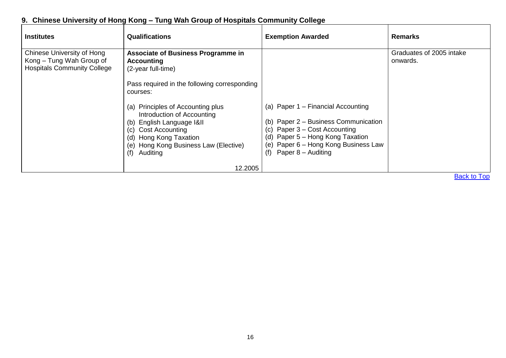### <span id="page-16-0"></span>**9. Chinese University of Hong Kong – Tung Wah Group of Hospitals Community College**

<span id="page-16-1"></span>

| <b>Institutes</b>                                                                                   | <b>Qualifications</b>                                                                                                                                                                                                                                                                                                                                                                       | <b>Exemption Awarded</b>                                                                                                                                                                                               | <b>Remarks</b>                       |
|-----------------------------------------------------------------------------------------------------|---------------------------------------------------------------------------------------------------------------------------------------------------------------------------------------------------------------------------------------------------------------------------------------------------------------------------------------------------------------------------------------------|------------------------------------------------------------------------------------------------------------------------------------------------------------------------------------------------------------------------|--------------------------------------|
| <b>Chinese University of Hong</b><br>Kong – Tung Wah Group of<br><b>Hospitals Community College</b> | <b>Associate of Business Programme in</b><br><b>Accounting</b><br>(2-year full-time)<br>Pass required in the following corresponding<br>courses:<br>(a) Principles of Accounting plus<br>Introduction of Accounting<br>English Language I&II<br>(b)<br><b>Cost Accounting</b><br>(c)<br>Hong Kong Taxation<br>(d)<br>Hong Kong Business Law (Elective)<br>(e)<br>Auditing<br>(f)<br>12.2005 | (a) Paper 1 – Financial Accounting<br>(b) Paper 2 – Business Communication<br>(c) Paper $3 - Cost$ Accounting<br>(d) Paper 5 - Hong Kong Taxation<br>(e) Paper 6 - Hong Kong Business Law<br>Paper 8 – Auditing<br>(f) | Graduates of 2005 intake<br>onwards. |
|                                                                                                     |                                                                                                                                                                                                                                                                                                                                                                                             |                                                                                                                                                                                                                        | <b>Back to Top</b>                   |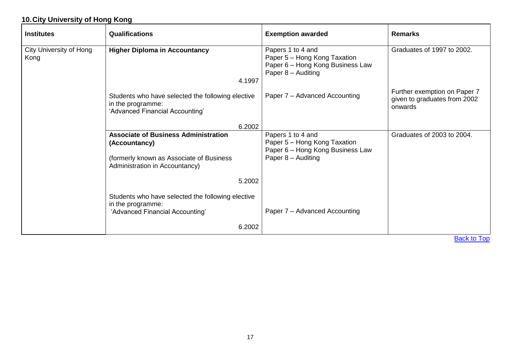### <span id="page-17-0"></span>**10.City University of Hong Kong**

<span id="page-17-2"></span><span id="page-17-1"></span>

| <b>Institutes</b>                      | Qualifications                                                                                                                             | <b>Exemption awarded</b>                                                                                    | <b>Remarks</b>                                                          |
|----------------------------------------|--------------------------------------------------------------------------------------------------------------------------------------------|-------------------------------------------------------------------------------------------------------------|-------------------------------------------------------------------------|
| <b>City University of Hong</b><br>Kong | <b>Higher Diploma in Accountancy</b><br>4.1997                                                                                             | Papers 1 to 4 and<br>Paper 5 - Hong Kong Taxation<br>Paper 6 - Hong Kong Business Law<br>Paper 8 - Auditing | Graduates of 1997 to 2002.                                              |
|                                        | Students who have selected the following elective<br>in the programme:<br>'Advanced Financial Accounting'                                  | Paper 7 - Advanced Accounting                                                                               | Further exemption on Paper 7<br>given to graduates from 2002<br>onwards |
|                                        | 6.2002                                                                                                                                     |                                                                                                             |                                                                         |
|                                        | <b>Associate of Business Administration</b><br>(Accountancy)<br>(formerly known as Associate of Business<br>Administration in Accountancy) | Papers 1 to 4 and<br>Paper 5 - Hong Kong Taxation<br>Paper 6 - Hong Kong Business Law<br>Paper 8 - Auditing | Graduates of 2003 to 2004.                                              |
|                                        | 5.2002                                                                                                                                     |                                                                                                             |                                                                         |
|                                        | Students who have selected the following elective<br>in the programme:<br>'Advanced Financial Accounting'                                  | Paper 7 – Advanced Accounting                                                                               |                                                                         |
|                                        | 6.2002                                                                                                                                     |                                                                                                             |                                                                         |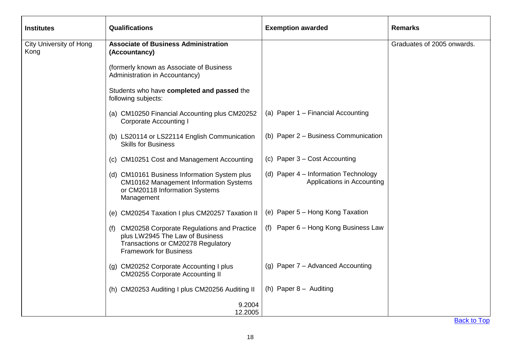<span id="page-18-0"></span>

| <b>Institutes</b>                      | <b>Qualifications</b>                                                                                                                                    | <b>Exemption awarded</b>                                           | <b>Remarks</b>             |
|----------------------------------------|----------------------------------------------------------------------------------------------------------------------------------------------------------|--------------------------------------------------------------------|----------------------------|
| <b>City University of Hong</b><br>Kong | <b>Associate of Business Administration</b><br>(Accountancy)                                                                                             |                                                                    | Graduates of 2005 onwards. |
|                                        | (formerly known as Associate of Business<br>Administration in Accountancy)                                                                               |                                                                    |                            |
|                                        | Students who have completed and passed the<br>following subjects:                                                                                        |                                                                    |                            |
|                                        | (a) CM10250 Financial Accounting plus CM20252<br><b>Corporate Accounting I</b>                                                                           | (a) Paper 1 - Financial Accounting                                 |                            |
|                                        | (b) LS20114 or LS22114 English Communication<br><b>Skills for Business</b>                                                                               | (b) Paper 2 - Business Communication                               |                            |
|                                        | (c) CM10251 Cost and Management Accounting                                                                                                               | (c) Paper $3 - Cost$ Accounting                                    |                            |
|                                        | (d) CM10161 Business Information System plus<br><b>CM10162 Management Information Systems</b><br>or CM20118 Information Systems<br>Management            | (d) Paper 4 - Information Technology<br>Applications in Accounting |                            |
|                                        | (e) CM20254 Taxation I plus CM20257 Taxation II                                                                                                          | (e) Paper 5 - Hong Kong Taxation                                   |                            |
|                                        | (f) CM20258 Corporate Regulations and Practice<br>plus LW2945 The Law of Business<br>Transactions or CM20278 Regulatory<br><b>Framework for Business</b> | (f) Paper 6 – Hong Kong Business Law                               |                            |
|                                        | (g) CM20252 Corporate Accounting I plus<br><b>CM20255 Corporate Accounting II</b>                                                                        | (g) Paper 7 - Advanced Accounting                                  |                            |
|                                        | (h) CM20253 Auditing I plus CM20256 Auditing II                                                                                                          | (h) Paper $8 -$ Auditing                                           |                            |
|                                        | 9.2004<br>12.2005                                                                                                                                        |                                                                    |                            |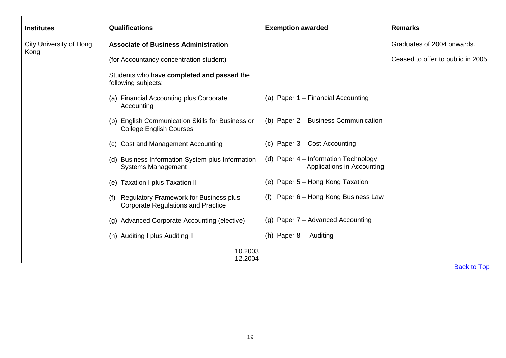<span id="page-19-0"></span>

| <b>Institutes</b>              | <b>Qualifications</b>                                                                             | <b>Exemption awarded</b>                                           | <b>Remarks</b>                    |
|--------------------------------|---------------------------------------------------------------------------------------------------|--------------------------------------------------------------------|-----------------------------------|
| <b>City University of Hong</b> | <b>Associate of Business Administration</b>                                                       |                                                                    | Graduates of 2004 onwards.        |
| Kong                           | (for Accountancy concentration student)                                                           |                                                                    | Ceased to offer to public in 2005 |
|                                | Students who have completed and passed the<br>following subjects:                                 |                                                                    |                                   |
|                                | (a) Financial Accounting plus Corporate<br>Accounting                                             | (a) Paper 1 - Financial Accounting                                 |                                   |
|                                | (b) English Communication Skills for Business or<br><b>College English Courses</b>                | (b) Paper 2 - Business Communication                               |                                   |
|                                | (c) Cost and Management Accounting                                                                | (c) Paper 3 – Cost Accounting                                      |                                   |
|                                | (d) Business Information System plus Information<br><b>Systems Management</b>                     | (d) Paper 4 – Information Technology<br>Applications in Accounting |                                   |
|                                | (e) Taxation I plus Taxation II                                                                   | (e) Paper 5 – Hong Kong Taxation                                   |                                   |
|                                | <b>Regulatory Framework for Business plus</b><br>(f)<br><b>Corporate Regulations and Practice</b> | Paper 6 – Hong Kong Business Law<br>(f)                            |                                   |
|                                | (g) Advanced Corporate Accounting (elective)                                                      | (g) Paper 7 - Advanced Accounting                                  |                                   |
|                                | (h) Auditing I plus Auditing II                                                                   | (h) Paper $8 -$ Auditing                                           |                                   |
|                                | 10.2003<br>12.2004                                                                                |                                                                    |                                   |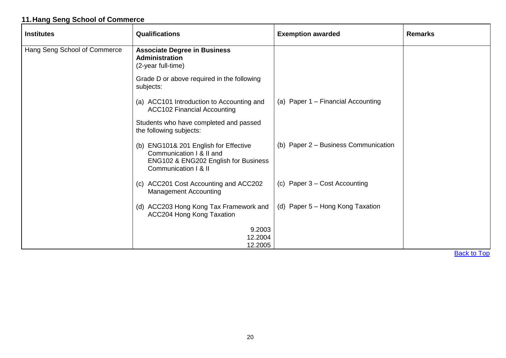### <span id="page-20-0"></span>**11.Hang Seng School of Commerce**

<span id="page-20-1"></span>

| <b>Institutes</b>            | <b>Qualifications</b>                                                                                                             | <b>Exemption awarded</b>             | <b>Remarks</b> |
|------------------------------|-----------------------------------------------------------------------------------------------------------------------------------|--------------------------------------|----------------|
| Hang Seng School of Commerce | <b>Associate Degree in Business</b><br><b>Administration</b><br>(2-year full-time)                                                |                                      |                |
|                              | Grade D or above required in the following<br>subjects:                                                                           |                                      |                |
|                              | (a) ACC101 Introduction to Accounting and<br><b>ACC102 Financial Accounting</b>                                                   | (a) Paper 1 – Financial Accounting   |                |
|                              | Students who have completed and passed<br>the following subjects:                                                                 |                                      |                |
|                              | (b) ENG101& 201 English for Effective<br>Communication I & II and<br>ENG102 & ENG202 English for Business<br>Communication   & II | (b) Paper 2 - Business Communication |                |
|                              | (c) ACC201 Cost Accounting and ACC202<br><b>Management Accounting</b>                                                             | (c) Paper 3 - Cost Accounting        |                |
|                              | (d) ACC203 Hong Kong Tax Framework and<br>ACC204 Hong Kong Taxation                                                               | (d) Paper 5 - Hong Kong Taxation     |                |
|                              | 9.2003<br>12.2004<br>12.2005                                                                                                      |                                      |                |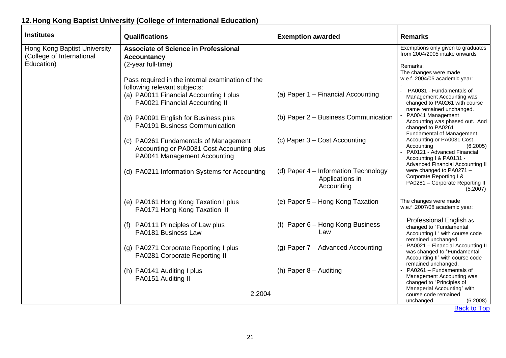## <span id="page-21-0"></span>**12.Hong Kong Baptist University (College of International Education)**

<span id="page-21-1"></span>

| <b>Institutes</b>                                                       | Qualifications                                                                                                                                                                                                                                          | <b>Exemption awarded</b>                                              | <b>Remarks</b>                                                                                                                                                                                                                      |
|-------------------------------------------------------------------------|---------------------------------------------------------------------------------------------------------------------------------------------------------------------------------------------------------------------------------------------------------|-----------------------------------------------------------------------|-------------------------------------------------------------------------------------------------------------------------------------------------------------------------------------------------------------------------------------|
| Hong Kong Baptist University<br>(College of International<br>Education) | <b>Associate of Science in Professional</b><br><b>Accountancy</b><br>(2-year full-time)<br>Pass required in the internal examination of the<br>following relevant subjects:<br>(a) PA0011 Financial Accounting I plus<br>PA0021 Financial Accounting II | (a) Paper 1 - Financial Accounting                                    | Exemptions only given to graduates<br>from 2004/2005 intake onwards<br>Remarks:<br>The changes were made<br>w.e.f. 2004/05 academic year:<br>PA0031 - Fundamentals of<br>Management Accounting was<br>changed to PA0261 with course |
|                                                                         | (b) PA0091 English for Business plus<br>PA0191 Business Communication<br>(c) PA0261 Fundamentals of Management                                                                                                                                          | (b) Paper 2 - Business Communication<br>(c) Paper 3 – Cost Accounting | name remained unchanged.<br>PA0041 Management<br>Accounting was phased out. And<br>changed to PA0261<br><b>Fundamental of Management</b><br>Accounting or PA0031 Cost                                                               |
|                                                                         | Accounting or PA0031 Cost Accounting plus<br>PA0041 Management Accounting<br>(d) PA0211 Information Systems for Accounting                                                                                                                              | (d) Paper 4 – Information Technology<br>Applications in               | Accounting<br>(6.2005)<br>PA0121 - Advanced Financial<br>Accounting I & PA0131 -<br><b>Advanced Financial Accounting II</b><br>were changed to PA0271 -<br>Corporate Reporting I &<br>PA0281 - Corporate Reporting II               |
|                                                                         | (e) PA0161 Hong Kong Taxation I plus<br>PA0171 Hong Kong Taxation II                                                                                                                                                                                    | Accounting<br>(e) Paper 5 - Hong Kong Taxation                        | (5.2007)<br>The changes were made<br>w.e.f.2007/08 academic year:                                                                                                                                                                   |
|                                                                         | (f) PA0111 Principles of Law plus<br>PA0181 Business Law                                                                                                                                                                                                | (f) Paper 6 - Hong Kong Business<br>Law                               | Professional English as<br>changed to "Fundamental<br>Accounting I " with course code<br>remained unchanged.                                                                                                                        |
|                                                                         | (g) PA0271 Corporate Reporting I plus<br>PA0281 Corporate Reporting II                                                                                                                                                                                  | (g) Paper 7 - Advanced Accounting<br>(h) Paper 8 - Auditing           | PA0021 - Financial Accounting II<br>was changed to "Fundamental<br>Accounting II" with course code<br>remained unchanged.<br>PA0261 - Fundamentals of                                                                               |
|                                                                         | (h) PA0141 Auditing I plus<br>PA0151 Auditing II<br>2.2004                                                                                                                                                                                              |                                                                       | Management Accounting was<br>changed to "Principles of<br>Managerial Accounting" with<br>course code remained<br>unchanged.<br>(6.2008)                                                                                             |
|                                                                         |                                                                                                                                                                                                                                                         |                                                                       | <b>Back to Top</b>                                                                                                                                                                                                                  |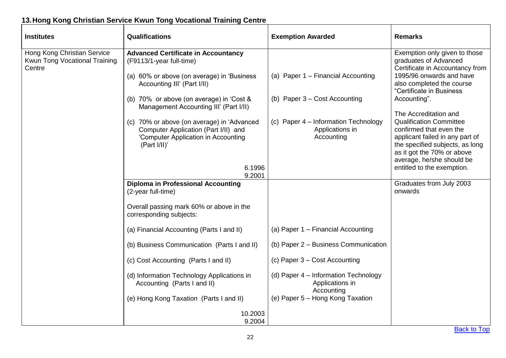## <span id="page-22-0"></span>**13.Hong Kong Christian Service Kwun Tong Vocational Training Centre**

<span id="page-22-2"></span><span id="page-22-1"></span>

| <b>Institutes</b>                                            | Qualifications                                                                                                                                      | <b>Exemption Awarded</b>                                              | <b>Remarks</b>                                                                                                                                                                                                                                    |
|--------------------------------------------------------------|-----------------------------------------------------------------------------------------------------------------------------------------------------|-----------------------------------------------------------------------|---------------------------------------------------------------------------------------------------------------------------------------------------------------------------------------------------------------------------------------------------|
| Hong Kong Christian Service<br>Kwun Tong Vocational Training | <b>Advanced Certificate in Accountancy</b><br>(F9113/1-year full-time)                                                                              |                                                                       | Exemption only given to those<br>graduates of Advanced<br>Certificate in Accountancy from                                                                                                                                                         |
| Centre                                                       | (a) 60% or above (on average) in 'Business<br>Accounting III' (Part I/II)                                                                           | (a) Paper 1 - Financial Accounting                                    | 1995/96 onwards and have<br>also completed the course<br>"Certificate in Business                                                                                                                                                                 |
|                                                              | (b) 70% or above (on average) in 'Cost &<br>Management Accounting III' (Part I/II)                                                                  | (b) Paper 3 - Cost Accounting                                         | Accounting".                                                                                                                                                                                                                                      |
|                                                              | (c) 70% or above (on average) in 'Advanced<br>Computer Application (Part I/II) and<br>'Computer Application in Accounting<br>(Part I/II)'<br>6.1996 | (c) Paper 4 - Information Technology<br>Applications in<br>Accounting | The Accreditation and<br><b>Qualification Committee</b><br>confirmed that even the<br>applicant failed in any part of<br>the specified subjects, as long<br>as it got the 70% or above<br>average, he/she should be<br>entitled to the exemption. |
|                                                              | 9.2001                                                                                                                                              |                                                                       |                                                                                                                                                                                                                                                   |
|                                                              | <b>Diploma in Professional Accounting</b><br>(2-year full-time)                                                                                     |                                                                       | Graduates from July 2003<br>onwards                                                                                                                                                                                                               |
|                                                              | Overall passing mark 60% or above in the<br>corresponding subjects:                                                                                 |                                                                       |                                                                                                                                                                                                                                                   |
|                                                              | (a) Financial Accounting (Parts I and II)                                                                                                           | (a) Paper 1 - Financial Accounting                                    |                                                                                                                                                                                                                                                   |
|                                                              | (b) Business Communication (Parts I and II)                                                                                                         | (b) Paper 2 - Business Communication                                  |                                                                                                                                                                                                                                                   |
|                                                              | (c) Cost Accounting (Parts I and II)                                                                                                                | (c) Paper 3 – Cost Accounting                                         |                                                                                                                                                                                                                                                   |
|                                                              | (d) Information Technology Applications in<br>Accounting (Parts I and II)                                                                           | (d) Paper 4 - Information Technology<br>Applications in<br>Accounting |                                                                                                                                                                                                                                                   |
|                                                              | (e) Hong Kong Taxation (Parts I and II)                                                                                                             | (e) Paper 5 - Hong Kong Taxation                                      |                                                                                                                                                                                                                                                   |
|                                                              | 10.2003<br>9.2004                                                                                                                                   |                                                                       |                                                                                                                                                                                                                                                   |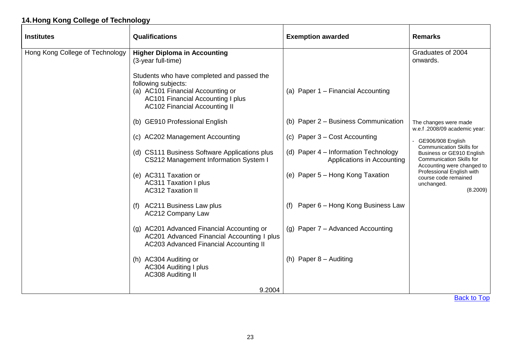### <span id="page-23-0"></span>**14.Hong Kong College of Technology**

<span id="page-23-1"></span>

| <b>Institutes</b>               | <b>Qualifications</b>                                                                                                                                                                      | <b>Exemption awarded</b>                                           | <b>Remarks</b>                                                                             |
|---------------------------------|--------------------------------------------------------------------------------------------------------------------------------------------------------------------------------------------|--------------------------------------------------------------------|--------------------------------------------------------------------------------------------|
| Hong Kong College of Technology | <b>Higher Diploma in Accounting</b><br>(3-year full-time)                                                                                                                                  |                                                                    | Graduates of 2004<br>onwards.                                                              |
|                                 | Students who have completed and passed the<br>following subjects:<br>(a) AC101 Financial Accounting or<br><b>AC101 Financial Accounting I plus</b><br><b>AC102 Financial Accounting II</b> | (a) Paper 1 - Financial Accounting                                 |                                                                                            |
|                                 | (b) GE910 Professional English                                                                                                                                                             | (b) Paper 2 - Business Communication                               | The changes were made<br>w.e.f .2008/09 academic year:                                     |
|                                 | (c) AC202 Management Accounting                                                                                                                                                            | (c) Paper 3 – Cost Accounting                                      | - GE906/908 English<br><b>Communication Skills for</b>                                     |
|                                 | (d) CS111 Business Software Applications plus<br>CS212 Management Information System I                                                                                                     | (d) Paper 4 – Information Technology<br>Applications in Accounting | Business or GE910 English<br><b>Communication Skills for</b><br>Accounting were changed to |
|                                 | (e) AC311 Taxation or<br><b>AC311 Taxation I plus</b><br><b>AC312 Taxation II</b>                                                                                                          | (e) Paper 5 - Hong Kong Taxation                                   | Professional English with<br>course code remained<br>unchanged.<br>(8.2009)                |
|                                 | <b>AC211 Business Law plus</b><br>(f)<br><b>AC212 Company Law</b>                                                                                                                          | Paper 6 - Hong Kong Business Law                                   |                                                                                            |
|                                 | (g) AC201 Advanced Financial Accounting or<br>AC201 Advanced Financial Accounting I plus<br>AC203 Advanced Financial Accounting II                                                         | (g) Paper 7 - Advanced Accounting                                  |                                                                                            |
|                                 | (h) AC304 Auditing or<br><b>AC304 Auditing I plus</b><br><b>AC308 Auditing II</b>                                                                                                          | (h) Paper $8 -$ Auditing                                           |                                                                                            |
|                                 | 9.2004                                                                                                                                                                                     |                                                                    |                                                                                            |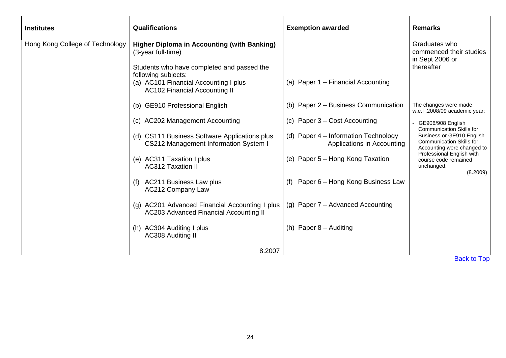<span id="page-24-0"></span>

| <b>Institutes</b>               | Qualifications                                                                                                                                                                                                                 | <b>Exemption awarded</b>                                           | <b>Remarks</b>                                                                             |
|---------------------------------|--------------------------------------------------------------------------------------------------------------------------------------------------------------------------------------------------------------------------------|--------------------------------------------------------------------|--------------------------------------------------------------------------------------------|
| Hong Kong College of Technology | <b>Higher Diploma in Accounting (with Banking)</b><br>(3-year full-time)<br>Students who have completed and passed the<br>following subjects:<br>(a) AC101 Financial Accounting I plus<br><b>AC102 Financial Accounting II</b> | (a) Paper 1 - Financial Accounting                                 | Graduates who<br>commenced their studies<br>in Sept 2006 or<br>thereafter                  |
|                                 | (b) GE910 Professional English                                                                                                                                                                                                 | (b) Paper 2 - Business Communication                               | The changes were made<br>w.e.f .2008/09 academic year:                                     |
|                                 | (c) AC202 Management Accounting                                                                                                                                                                                                | (c) Paper 3 - Cost Accounting                                      | GE906/908 English<br>Communication Skills for                                              |
|                                 | (d) CS111 Business Software Applications plus<br>CS212 Management Information System I                                                                                                                                         | (d) Paper 4 - Information Technology<br>Applications in Accounting | Business or GE910 English<br><b>Communication Skills for</b><br>Accounting were changed to |
|                                 | (e) AC311 Taxation I plus<br><b>AC312 Taxation II</b>                                                                                                                                                                          | (e) Paper 5 – Hong Kong Taxation                                   | Professional English with<br>course code remained<br>unchanged.<br>(8.2009)                |
|                                 | (f) AC211 Business Law plus<br><b>AC212 Company Law</b>                                                                                                                                                                        | Paper 6 - Hong Kong Business Law<br>(f)                            |                                                                                            |
|                                 | (g) AC201 Advanced Financial Accounting I plus<br>AC203 Advanced Financial Accounting II                                                                                                                                       | (g) Paper 7 - Advanced Accounting                                  |                                                                                            |
|                                 | (h) AC304 Auditing I plus<br><b>AC308 Auditing II</b>                                                                                                                                                                          | (h) Paper $8 -$ Auditing                                           |                                                                                            |
|                                 | 8.2007                                                                                                                                                                                                                         |                                                                    |                                                                                            |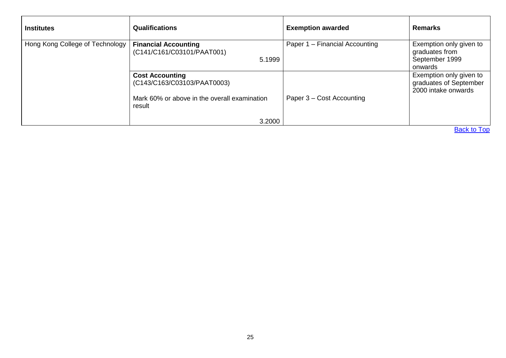<span id="page-25-1"></span><span id="page-25-0"></span>

| <b>Institutes</b>               | <b>Qualifications</b>                                                                                           | <b>Exemption awarded</b>       | <b>Remarks</b>                                                           |
|---------------------------------|-----------------------------------------------------------------------------------------------------------------|--------------------------------|--------------------------------------------------------------------------|
| Hong Kong College of Technology | <b>Financial Accounting</b><br>(C141/C161/C03101/PAAT001)<br>5.1999                                             | Paper 1 - Financial Accounting | Exemption only given to<br>graduates from<br>September 1999<br>onwards   |
|                                 | <b>Cost Accounting</b><br>(C143/C163/C03103/PAAT0003)<br>Mark 60% or above in the overall examination<br>result | Paper 3 – Cost Accounting      | Exemption only given to<br>graduates of September<br>2000 intake onwards |
|                                 | 3.2000                                                                                                          |                                |                                                                          |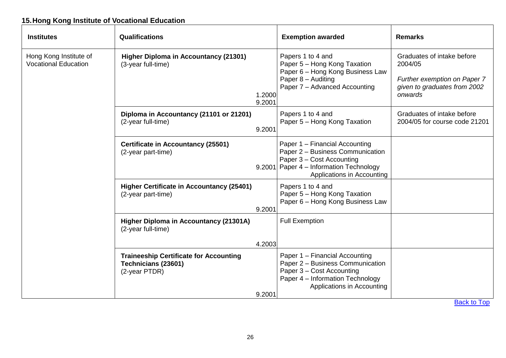### <span id="page-26-0"></span>**15.Hong Kong Institute of Vocational Education**

<span id="page-26-6"></span><span id="page-26-5"></span><span id="page-26-4"></span><span id="page-26-3"></span><span id="page-26-2"></span><span id="page-26-1"></span>

| <b>Institutes</b>                                     | <b>Qualifications</b>                                                                 | <b>Exemption awarded</b>                                                                                                                                                    | <b>Remarks</b>                                                                                                   |
|-------------------------------------------------------|---------------------------------------------------------------------------------------|-----------------------------------------------------------------------------------------------------------------------------------------------------------------------------|------------------------------------------------------------------------------------------------------------------|
| Hong Kong Institute of<br><b>Vocational Education</b> | <b>Higher Diploma in Accountancy (21301)</b><br>(3-year full-time)                    | Papers 1 to 4 and<br>Paper 5 - Hong Kong Taxation<br>Paper 6 - Hong Kong Business Law<br>Paper 8 - Auditing<br>Paper 7 - Advanced Accounting<br>1.2000<br>9.2001            | Graduates of intake before<br>2004/05<br>Further exemption on Paper 7<br>given to graduates from 2002<br>onwards |
|                                                       | Diploma in Accountancy (21101 or 21201)<br>(2-year full-time)<br>9.2001               | Papers 1 to 4 and<br>Paper 5 - Hong Kong Taxation                                                                                                                           | Graduates of intake before<br>2004/05 for course code 21201                                                      |
|                                                       | <b>Certificate in Accountancy (25501)</b><br>(2-year part-time)                       | Paper 1 - Financial Accounting<br>Paper 2 - Business Communication<br>Paper 3 – Cost Accounting<br>9.2001 Paper 4 – Information Technology<br>Applications in Accounting    |                                                                                                                  |
|                                                       | <b>Higher Certificate in Accountancy (25401)</b><br>(2-year part-time)<br>9.2001      | Papers 1 to 4 and<br>Paper 5 - Hong Kong Taxation<br>Paper 6 - Hong Kong Business Law                                                                                       |                                                                                                                  |
|                                                       | Higher Diploma in Accountancy (21301A)<br>(2-year full-time)                          | <b>Full Exemption</b>                                                                                                                                                       |                                                                                                                  |
|                                                       |                                                                                       | 4.2003                                                                                                                                                                      |                                                                                                                  |
|                                                       | <b>Traineeship Certificate for Accounting</b><br>Technicians (23601)<br>(2-year PTDR) | Paper 1 - Financial Accounting<br>Paper 2 - Business Communication<br>Paper 3 - Cost Accounting<br>Paper 4 - Information Technology<br>Applications in Accounting<br>9.2001 |                                                                                                                  |
|                                                       |                                                                                       |                                                                                                                                                                             |                                                                                                                  |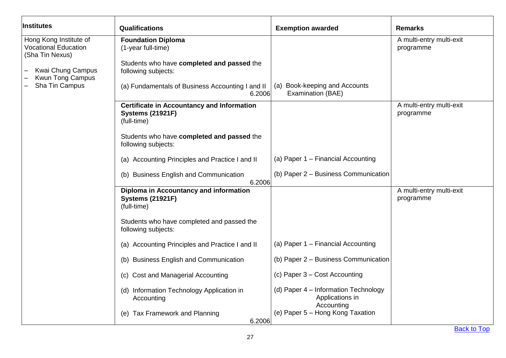<span id="page-27-2"></span><span id="page-27-1"></span><span id="page-27-0"></span>

| Institutes                                                                                                               | Qualifications                                                                                                                            | <b>Exemption awarded</b>                                              | <b>Remarks</b>                        |
|--------------------------------------------------------------------------------------------------------------------------|-------------------------------------------------------------------------------------------------------------------------------------------|-----------------------------------------------------------------------|---------------------------------------|
| Hong Kong Institute of<br><b>Vocational Education</b><br>(Sha Tin Nexus)<br>Kwai Chung Campus<br><b>Kwun Tong Campus</b> | <b>Foundation Diploma</b><br>(1-year full-time)<br>Students who have completed and passed the<br>following subjects:                      |                                                                       | A multi-entry multi-exit<br>programme |
| Sha Tin Campus                                                                                                           | (a) Fundamentals of Business Accounting I and II<br>6.2006                                                                                | (a) Book-keeping and Accounts<br>Examination (BAE)                    |                                       |
|                                                                                                                          | <b>Certificate in Accountancy and Information</b><br><b>Systems (21921F)</b><br>(full-time)<br>Students who have completed and passed the |                                                                       | A multi-entry multi-exit<br>programme |
|                                                                                                                          | following subjects:                                                                                                                       | (a) Paper 1 - Financial Accounting                                    |                                       |
|                                                                                                                          | (a) Accounting Principles and Practice I and II<br>(b) Business English and Communication<br>6.2006                                       | (b) Paper 2 - Business Communication                                  |                                       |
|                                                                                                                          | Diploma in Accountancy and information<br><b>Systems (21921F)</b><br>(full-time)                                                          |                                                                       | A multi-entry multi-exit<br>programme |
|                                                                                                                          | Students who have completed and passed the<br>following subjects:                                                                         |                                                                       |                                       |
|                                                                                                                          | (a) Accounting Principles and Practice I and II                                                                                           | (a) Paper 1 - Financial Accounting                                    |                                       |
|                                                                                                                          | (b) Business English and Communication                                                                                                    | (b) Paper 2 - Business Communication                                  |                                       |
|                                                                                                                          | (c) Cost and Managerial Accounting                                                                                                        | (c) Paper 3 – Cost Accounting                                         |                                       |
|                                                                                                                          | (d) Information Technology Application in<br>Accounting                                                                                   | (d) Paper 4 - Information Technology<br>Applications in<br>Accounting |                                       |
|                                                                                                                          | (e) Tax Framework and Planning<br>6.2006                                                                                                  | (e) Paper 5 - Hong Kong Taxation                                      |                                       |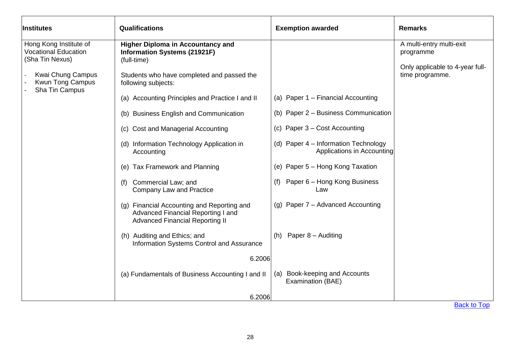<span id="page-28-0"></span>

| Institutes                                                               | Qualifications                                                                                                                | <b>Exemption awarded</b>                                           | <b>Remarks</b>                                     |
|--------------------------------------------------------------------------|-------------------------------------------------------------------------------------------------------------------------------|--------------------------------------------------------------------|----------------------------------------------------|
| Hong Kong Institute of<br><b>Vocational Education</b><br>(Sha Tin Nexus) | <b>Higher Diploma in Accountancy and</b><br><b>Information Systems (21921F)</b><br>(full-time)                                |                                                                    | A multi-entry multi-exit<br>programme              |
| Kwai Chung Campus<br><b>Kwun Tong Campus</b><br>Sha Tin Campus           | Students who have completed and passed the<br>following subjects:                                                             |                                                                    | Only applicable to 4-year full-<br>time programme. |
|                                                                          | (a) Accounting Principles and Practice I and II                                                                               | (a) Paper 1 - Financial Accounting                                 |                                                    |
|                                                                          | (b) Business English and Communication                                                                                        | (b) Paper 2 – Business Communication                               |                                                    |
|                                                                          | (c) Cost and Managerial Accounting                                                                                            | (c) Paper 3 – Cost Accounting                                      |                                                    |
|                                                                          | (d) Information Technology Application in<br>Accounting                                                                       | (d) Paper 4 - Information Technology<br>Applications in Accounting |                                                    |
|                                                                          | (e) Tax Framework and Planning                                                                                                | (e) Paper 5 - Hong Kong Taxation                                   |                                                    |
|                                                                          | Commercial Law; and<br>(f)<br><b>Company Law and Practice</b>                                                                 | Paper 6 - Hong Kong Business<br>(f)<br>Law                         |                                                    |
|                                                                          | Financial Accounting and Reporting and<br>(q)<br>Advanced Financial Reporting I and<br><b>Advanced Financial Reporting II</b> | (g) Paper 7 - Advanced Accounting                                  |                                                    |
|                                                                          | (h) Auditing and Ethics; and<br>Information Systems Control and Assurance                                                     | Paper 8 - Auditing<br>(h)                                          |                                                    |
|                                                                          | 6.2006                                                                                                                        |                                                                    |                                                    |
|                                                                          | (a) Fundamentals of Business Accounting I and II                                                                              | Book-keeping and Accounts<br>(a)<br>Examination (BAE)              |                                                    |
|                                                                          | 6.2006                                                                                                                        |                                                                    | <b>Back to Top</b>                                 |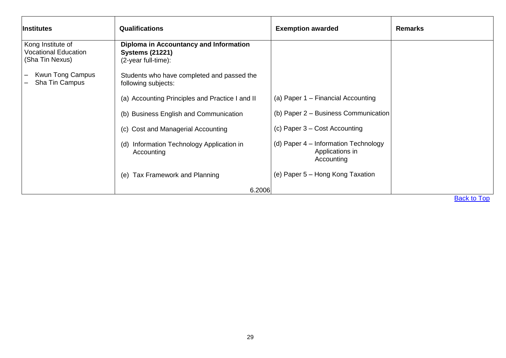<span id="page-29-0"></span>

| <i><b>Institutes</b></i>                                            | <b>Qualifications</b>                                                                   | <b>Exemption awarded</b>                                              | <b>Remarks</b>     |
|---------------------------------------------------------------------|-----------------------------------------------------------------------------------------|-----------------------------------------------------------------------|--------------------|
| Kong Institute of<br><b>Vocational Education</b><br>(Sha Tin Nexus) | Diploma in Accountancy and Information<br><b>Systems (21221)</b><br>(2-year full-time): |                                                                       |                    |
| Kwun Tong Campus<br>Sha Tin Campus                                  | Students who have completed and passed the<br>following subjects:                       |                                                                       |                    |
|                                                                     | (a) Accounting Principles and Practice I and II                                         | (a) Paper 1 – Financial Accounting                                    |                    |
|                                                                     | (b) Business English and Communication                                                  | (b) Paper 2 - Business Communication                                  |                    |
|                                                                     | (c) Cost and Managerial Accounting                                                      | (c) Paper 3 - Cost Accounting                                         |                    |
|                                                                     | Information Technology Application in<br>(d)<br>Accounting                              | (d) Paper 4 – Information Technology<br>Applications in<br>Accounting |                    |
|                                                                     | (e) Tax Framework and Planning                                                          | (e) Paper 5 – Hong Kong Taxation                                      |                    |
|                                                                     | 6.2006                                                                                  |                                                                       |                    |
|                                                                     |                                                                                         |                                                                       | <b>Back to Top</b> |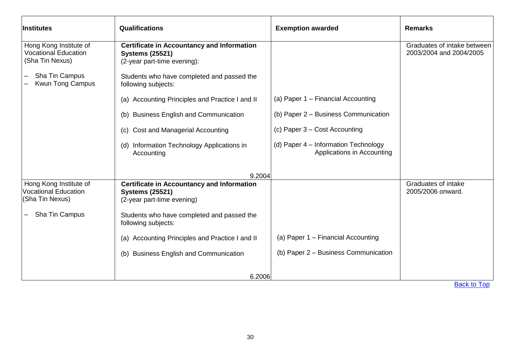<span id="page-30-1"></span><span id="page-30-0"></span>

| <b>Institutes</b>                                                        | <b>Qualifications</b>                                                                                      | <b>Exemption awarded</b>                                           | <b>Remarks</b>                                         |
|--------------------------------------------------------------------------|------------------------------------------------------------------------------------------------------------|--------------------------------------------------------------------|--------------------------------------------------------|
| Hong Kong Institute of<br><b>Vocational Education</b><br>(Sha Tin Nexus) | <b>Certificate in Accountancy and Information</b><br><b>Systems (25521)</b><br>(2-year part-time evening): |                                                                    | Graduates of intake between<br>2003/2004 and 2004/2005 |
| Sha Tin Campus<br><b>Kwun Tong Campus</b>                                | Students who have completed and passed the<br>following subjects:                                          |                                                                    |                                                        |
|                                                                          | (a) Accounting Principles and Practice I and II                                                            | (a) Paper 1 – Financial Accounting                                 |                                                        |
|                                                                          | <b>Business English and Communication</b><br>(b)                                                           | (b) Paper 2 – Business Communication                               |                                                        |
|                                                                          | Cost and Managerial Accounting<br>(c)                                                                      | (c) Paper $3 - Cost$ Accounting                                    |                                                        |
|                                                                          | (d) Information Technology Applications in<br>Accounting                                                   | (d) Paper 4 – Information Technology<br>Applications in Accounting |                                                        |
|                                                                          | 9.2004                                                                                                     |                                                                    |                                                        |
| Hong Kong Institute of<br><b>Vocational Education</b><br>(Sha Tin Nexus) | <b>Certificate in Accountancy and Information</b><br><b>Systems (25521)</b><br>(2-year part-time evening)  |                                                                    | Graduates of intake<br>2005/2006 onward.               |
| Sha Tin Campus                                                           | Students who have completed and passed the<br>following subjects:                                          |                                                                    |                                                        |
|                                                                          | (a) Accounting Principles and Practice I and II                                                            | (a) Paper 1 – Financial Accounting                                 |                                                        |
|                                                                          | (b) Business English and Communication                                                                     | (b) Paper 2 - Business Communication                               |                                                        |
|                                                                          | 6.2006                                                                                                     |                                                                    |                                                        |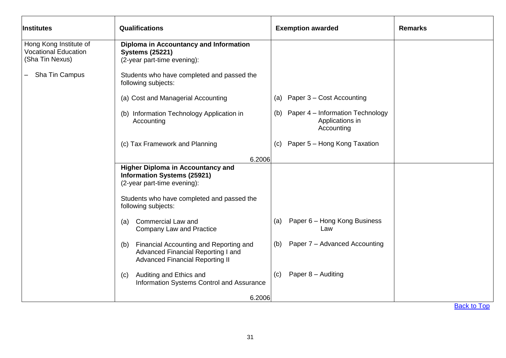<span id="page-31-1"></span><span id="page-31-0"></span>

| Institutes                                                               | <b>Qualifications</b>                                                                                                                                                              | <b>Exemption awarded</b>                                                 | <b>Remarks</b> |
|--------------------------------------------------------------------------|------------------------------------------------------------------------------------------------------------------------------------------------------------------------------------|--------------------------------------------------------------------------|----------------|
| Hong Kong Institute of<br><b>Vocational Education</b><br>(Sha Tin Nexus) | Diploma in Accountancy and Information<br><b>Systems (25221)</b><br>(2-year part-time evening):                                                                                    |                                                                          |                |
| Sha Tin Campus                                                           | Students who have completed and passed the<br>following subjects:                                                                                                                  |                                                                          |                |
|                                                                          | (a) Cost and Managerial Accounting                                                                                                                                                 | Paper 3 - Cost Accounting<br>(a)                                         |                |
|                                                                          | (b) Information Technology Application in<br>Accounting                                                                                                                            | Paper 4 - Information Technology<br>(b)<br>Applications in<br>Accounting |                |
|                                                                          | (c) Tax Framework and Planning                                                                                                                                                     | Paper 5 - Hong Kong Taxation<br>(C)                                      |                |
|                                                                          | 6.2006                                                                                                                                                                             |                                                                          |                |
|                                                                          | <b>Higher Diploma in Accountancy and</b><br><b>Information Systems (25921)</b><br>(2-year part-time evening):<br>Students who have completed and passed the<br>following subjects: |                                                                          |                |
|                                                                          | <b>Commercial Law and</b><br>(a)<br><b>Company Law and Practice</b>                                                                                                                | Paper 6 - Hong Kong Business<br>(a)<br>Law                               |                |
|                                                                          | Financial Accounting and Reporting and<br>(b)<br>Advanced Financial Reporting I and<br><b>Advanced Financial Reporting II</b>                                                      | Paper 7 - Advanced Accounting<br>(b)                                     |                |
|                                                                          | Auditing and Ethics and<br>(c)<br>Information Systems Control and Assurance                                                                                                        | Paper 8 - Auditing<br>(c)                                                |                |
|                                                                          | 6.2006                                                                                                                                                                             |                                                                          | Dool, to Ton   |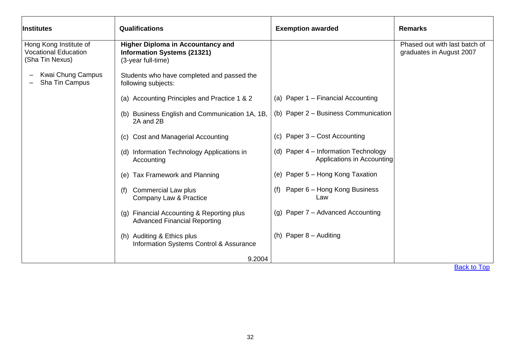<span id="page-32-0"></span>

| Institutes                                                               | <b>Qualifications</b>                                                                                | <b>Exemption awarded</b>                                           | <b>Remarks</b>                                            |
|--------------------------------------------------------------------------|------------------------------------------------------------------------------------------------------|--------------------------------------------------------------------|-----------------------------------------------------------|
| Hong Kong Institute of<br><b>Vocational Education</b><br>(Sha Tin Nexus) | <b>Higher Diploma in Accountancy and</b><br><b>Information Systems (21321)</b><br>(3-year full-time) |                                                                    | Phased out with last batch of<br>graduates in August 2007 |
| Kwai Chung Campus<br>Sha Tin Campus                                      | Students who have completed and passed the<br>following subjects:                                    |                                                                    |                                                           |
|                                                                          | (a) Accounting Principles and Practice 1 & 2                                                         | (a) Paper 1 - Financial Accounting                                 |                                                           |
|                                                                          | (b) Business English and Communication 1A, 1B,<br>2A and 2B                                          | (b) Paper 2 - Business Communication                               |                                                           |
|                                                                          | <b>Cost and Managerial Accounting</b><br>(C)                                                         | (c) Paper $3 - Cost$ Accounting                                    |                                                           |
|                                                                          | (d) Information Technology Applications in<br>Accounting                                             | (d) Paper 4 – Information Technology<br>Applications in Accounting |                                                           |
|                                                                          | Tax Framework and Planning<br>(e)                                                                    | (e) Paper 5 - Hong Kong Taxation                                   |                                                           |
|                                                                          | <b>Commercial Law plus</b><br>(f)<br>Company Law & Practice                                          | Paper 6 - Hong Kong Business<br>(f)<br>Law                         |                                                           |
|                                                                          | (g) Financial Accounting & Reporting plus<br><b>Advanced Financial Reporting</b>                     | (g) Paper 7 - Advanced Accounting                                  |                                                           |
|                                                                          | (h) Auditing & Ethics plus<br>Information Systems Control & Assurance                                | (h) Paper $8 -$ Auditing                                           |                                                           |
|                                                                          | 9.2004                                                                                               |                                                                    |                                                           |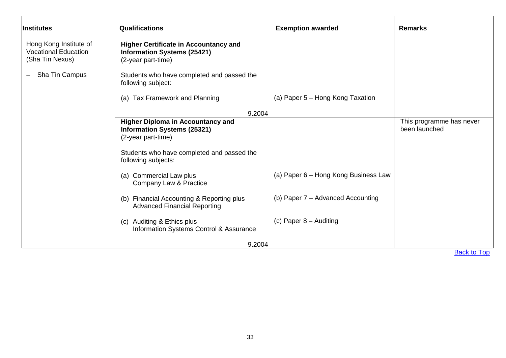<span id="page-33-1"></span><span id="page-33-0"></span>

| <b>I</b> nstitutes                                                       | <b>Qualifications</b>                                                                                    | <b>Exemption awarded</b>             | <b>Remarks</b>                            |
|--------------------------------------------------------------------------|----------------------------------------------------------------------------------------------------------|--------------------------------------|-------------------------------------------|
| Hong Kong Institute of<br><b>Vocational Education</b><br>(Sha Tin Nexus) | <b>Higher Certificate in Accountancy and</b><br><b>Information Systems (25421)</b><br>(2-year part-time) |                                      |                                           |
| Sha Tin Campus                                                           | Students who have completed and passed the<br>following subject:                                         |                                      |                                           |
|                                                                          | (a) Tax Framework and Planning                                                                           | (a) Paper 5 – Hong Kong Taxation     |                                           |
|                                                                          | 9.2004                                                                                                   |                                      |                                           |
|                                                                          | <b>Higher Diploma in Accountancy and</b><br><b>Information Systems (25321)</b><br>(2-year part-time)     |                                      | This programme has never<br>been launched |
|                                                                          | Students who have completed and passed the<br>following subjects:                                        |                                      |                                           |
|                                                                          | (a) Commercial Law plus<br>Company Law & Practice                                                        | (a) Paper 6 - Hong Kong Business Law |                                           |
|                                                                          | (b) Financial Accounting & Reporting plus<br><b>Advanced Financial Reporting</b>                         | (b) Paper 7 - Advanced Accounting    |                                           |
|                                                                          | (c) Auditing & Ethics plus<br>Information Systems Control & Assurance                                    | (c) Paper $8 -$ Auditing             |                                           |
|                                                                          | 9.2004                                                                                                   |                                      |                                           |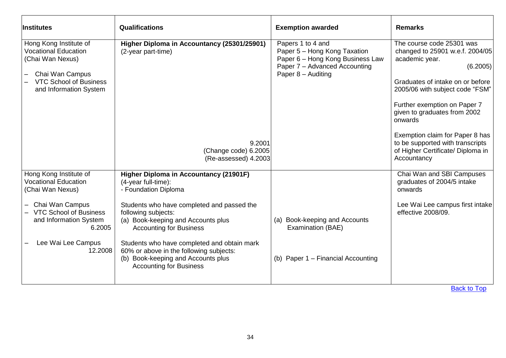<span id="page-34-1"></span><span id="page-34-0"></span>

| Institutes                                                                                                                                              | <b>Qualifications</b>                                                                                                                                                                                                                                                                                       | <b>Exemption awarded</b>                                                                                                                     | <b>Remarks</b>                                                                                                                                                                                                                                                                                                                                                          |
|---------------------------------------------------------------------------------------------------------------------------------------------------------|-------------------------------------------------------------------------------------------------------------------------------------------------------------------------------------------------------------------------------------------------------------------------------------------------------------|----------------------------------------------------------------------------------------------------------------------------------------------|-------------------------------------------------------------------------------------------------------------------------------------------------------------------------------------------------------------------------------------------------------------------------------------------------------------------------------------------------------------------------|
| Hong Kong Institute of<br><b>Vocational Education</b><br>(Chai Wan Nexus)<br>Chai Wan Campus<br><b>VTC School of Business</b><br>and Information System | Higher Diploma in Accountancy (25301/25901)<br>(2-year part-time)<br>9.2001<br>(Change code) 6.2005<br>(Re-assessed) 4.2003                                                                                                                                                                                 | Papers 1 to 4 and<br>Paper 5 - Hong Kong Taxation<br>Paper 6 - Hong Kong Business Law<br>Paper 7 - Advanced Accounting<br>Paper 8 - Auditing | The course code 25301 was<br>changed to 25901 w.e.f. 2004/05<br>academic year.<br>(6.2005)<br>Graduates of intake on or before<br>2005/06 with subject code "FSM"<br>Further exemption on Paper 7<br>given to graduates from 2002<br>onwards<br>Exemption claim for Paper 8 has<br>to be supported with transcripts<br>of Higher Certificate/ Diploma in<br>Accountancy |
| Hong Kong Institute of<br><b>Vocational Education</b><br>(Chai Wan Nexus)                                                                               | <b>Higher Diploma in Accountancy (21901F)</b><br>$(4$ -year full-time):<br>- Foundation Diploma                                                                                                                                                                                                             |                                                                                                                                              | Chai Wan and SBI Campuses<br>graduates of 2004/5 intake<br>onwards                                                                                                                                                                                                                                                                                                      |
| Chai Wan Campus<br><b>VTC School of Business</b><br>and Information System<br>6.2005<br>Lee Wai Lee Campus<br>12.2008                                   | Students who have completed and passed the<br>following subjects:<br>(a) Book-keeping and Accounts plus<br><b>Accounting for Business</b><br>Students who have completed and obtain mark<br>60% or above in the following subjects:<br>(b) Book-keeping and Accounts plus<br><b>Accounting for Business</b> | (a) Book-keeping and Accounts<br>Examination (BAE)<br>(b) Paper 1 - Financial Accounting                                                     | Lee Wai Lee campus first intake<br>effective 2008/09.                                                                                                                                                                                                                                                                                                                   |
|                                                                                                                                                         |                                                                                                                                                                                                                                                                                                             |                                                                                                                                              | <b>Back to Top</b>                                                                                                                                                                                                                                                                                                                                                      |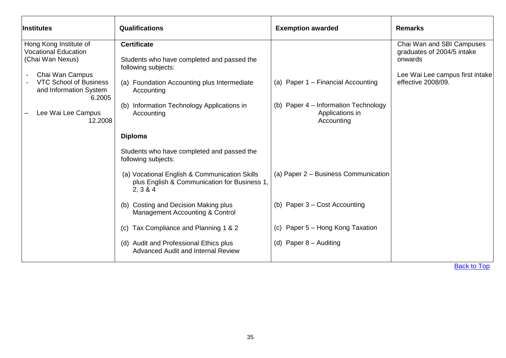<span id="page-35-1"></span><span id="page-35-0"></span>

| <b>Institutes</b>                                                                                                                                                 | Qualifications                                                                                                                                                                 | <b>Exemption awarded</b>                                              | <b>Remarks</b>                                                                                                              |
|-------------------------------------------------------------------------------------------------------------------------------------------------------------------|--------------------------------------------------------------------------------------------------------------------------------------------------------------------------------|-----------------------------------------------------------------------|-----------------------------------------------------------------------------------------------------------------------------|
| Hong Kong Institute of<br><b>Vocational Education</b><br>(Chai Wan Nexus)<br>Chai Wan Campus<br><b>VTC School of Business</b><br>and Information System<br>6.2005 | <b>Certificate</b><br>Students who have completed and passed the<br>following subjects:<br>(a) Foundation Accounting plus Intermediate<br>Accounting                           | (a) Paper 1 - Financial Accounting                                    | Chai Wan and SBI Campuses<br>graduates of 2004/5 intake<br>onwards<br>Lee Wai Lee campus first intake<br>effective 2008/09. |
| Lee Wai Lee Campus<br>12.2008                                                                                                                                     | Information Technology Applications in<br>(b)<br>Accounting<br><b>Diploma</b>                                                                                                  | (b) Paper 4 – Information Technology<br>Applications in<br>Accounting |                                                                                                                             |
|                                                                                                                                                                   | Students who have completed and passed the<br>following subjects:<br>(a) Vocational English & Communication Skills<br>plus English & Communication for Business 1,<br>2, 3 & 4 | (a) Paper 2 - Business Communication                                  |                                                                                                                             |
|                                                                                                                                                                   | (b) Costing and Decision Making plus<br>Management Accounting & Control<br>Tax Compliance and Planning 1 & 2<br>(C)                                                            | (b) Paper 3 - Cost Accounting<br>(c) Paper 5 - Hong Kong Taxation     |                                                                                                                             |
|                                                                                                                                                                   | (d) Audit and Professional Ethics plus<br><b>Advanced Audit and Internal Review</b>                                                                                            | (d) Paper $8 -$ Auditing                                              |                                                                                                                             |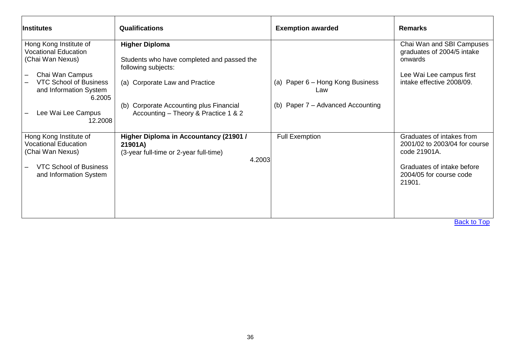| <b>Institutes</b>                                       | <b>Qualifications</b>                             | <b>Exemption awarded</b>                | <b>Remarks</b>                                             |
|---------------------------------------------------------|---------------------------------------------------|-----------------------------------------|------------------------------------------------------------|
| Hong Kong Institute of                                  | <b>Higher Diploma</b>                             |                                         | Chai Wan and SBI Campuses                                  |
| <b>Vocational Education</b><br>(Chai Wan Nexus)         | Students who have completed and passed the        |                                         | graduates of 2004/5 intake<br>onwards                      |
|                                                         | following subjects:                               |                                         |                                                            |
| Chai Wan Campus                                         |                                                   |                                         | Lee Wai Lee campus first                                   |
| <b>VTC School of Business</b><br>and Information System | (a) Corporate Law and Practice                    | (a) Paper 6 – Hong Kong Business<br>Law | intake effective 2008/09.                                  |
| 6.2005                                                  |                                                   |                                         |                                                            |
|                                                         | Corporate Accounting plus Financial<br>(b)        | (b) Paper 7 – Advanced Accounting       |                                                            |
| Lee Wai Lee Campus<br>12.2008                           | Accounting - Theory & Practice 1 & 2              |                                         |                                                            |
|                                                         |                                                   |                                         |                                                            |
| Hong Kong Institute of<br><b>Vocational Education</b>   | Higher Diploma in Accountancy (21901 /            | <b>Full Exemption</b>                   | Graduates of intakes from<br>2001/02 to 2003/04 for course |
| (Chai Wan Nexus)                                        | 21901A)<br>(3-year full-time or 2-year full-time) |                                         | code 21901A.                                               |
|                                                         | 4.2003                                            |                                         |                                                            |
| <b>VTC School of Business</b>                           |                                                   |                                         | Graduates of intake before                                 |
| and Information System                                  |                                                   |                                         | 2004/05 for course code<br>21901.                          |
|                                                         |                                                   |                                         |                                                            |
|                                                         |                                                   |                                         |                                                            |
|                                                         |                                                   |                                         |                                                            |
|                                                         |                                                   |                                         |                                                            |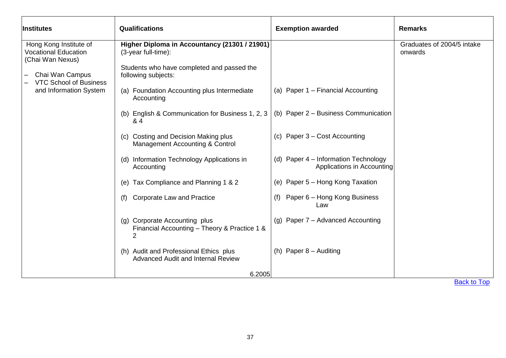| <i><b>Institutes</b></i>                                                                                                                                | Qualifications                                                                                                                                                                                                                                                                                                                                                                                                                                                                                                                                                                                                                                                            | <b>Exemption awarded</b>                                                                                                                                                                                                                                                                                                                 | <b>Remarks</b>                        |
|---------------------------------------------------------------------------------------------------------------------------------------------------------|---------------------------------------------------------------------------------------------------------------------------------------------------------------------------------------------------------------------------------------------------------------------------------------------------------------------------------------------------------------------------------------------------------------------------------------------------------------------------------------------------------------------------------------------------------------------------------------------------------------------------------------------------------------------------|------------------------------------------------------------------------------------------------------------------------------------------------------------------------------------------------------------------------------------------------------------------------------------------------------------------------------------------|---------------------------------------|
| Hong Kong Institute of<br><b>Vocational Education</b><br>(Chai Wan Nexus)<br>Chai Wan Campus<br><b>VTC School of Business</b><br>and Information System | Higher Diploma in Accountancy (21301 / 21901)<br>(3-year full-time):<br>Students who have completed and passed the<br>following subjects:<br>(a) Foundation Accounting plus Intermediate<br>Accounting<br>(b) English & Communication for Business 1, 2, 3<br>& 4<br>(c) Costing and Decision Making plus<br>Management Accounting & Control<br>Information Technology Applications in<br>(d)<br>Accounting<br>(e) Tax Compliance and Planning 1 & 2<br>Corporate Law and Practice<br>(f)<br>Corporate Accounting plus<br>(g)<br>Financial Accounting - Theory & Practice 1 &<br>2<br>(h) Audit and Professional Ethics plus<br><b>Advanced Audit and Internal Review</b> | (a) Paper 1 - Financial Accounting<br>(b) Paper 2 - Business Communication<br>(c) Paper $3 - Cost$ Accounting<br>(d) Paper 4 - Information Technology<br>Applications in Accounting<br>(e) Paper 5 - Hong Kong Taxation<br>Paper 6 - Hong Kong Business<br>(f)<br>Law<br>(g) Paper $7 -$ Advanced Accounting<br>(h) Paper $8 -$ Auditing | Graduates of 2004/5 intake<br>onwards |
|                                                                                                                                                         | 6.2005                                                                                                                                                                                                                                                                                                                                                                                                                                                                                                                                                                                                                                                                    |                                                                                                                                                                                                                                                                                                                                          |                                       |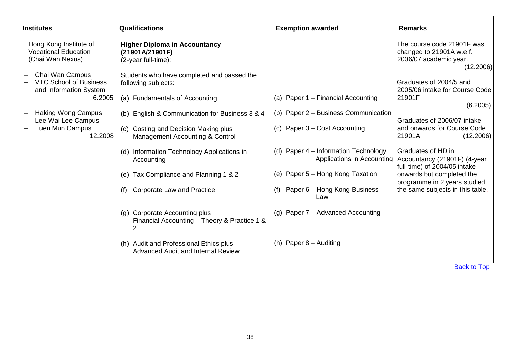| <b>Institutes</b>                                                          | Qualifications                                                                          | <b>Exemption awarded</b>                                           | <b>Remarks</b>                                                                                |
|----------------------------------------------------------------------------|-----------------------------------------------------------------------------------------|--------------------------------------------------------------------|-----------------------------------------------------------------------------------------------|
| Hong Kong Institute of<br><b>Vocational Education</b><br>(Chai Wan Nexus)  | <b>Higher Diploma in Accountancy</b><br>(21901A/21901F)<br>(2-year full-time):          |                                                                    | The course code 21901F was<br>changed to 21901A w.e.f.<br>2006/07 academic year.<br>(12.2006) |
| Chai Wan Campus<br><b>VTC School of Business</b><br>and Information System | Students who have completed and passed the<br>following subjects:                       |                                                                    | Graduates of 2004/5 and<br>2005/06 intake for Course Code                                     |
| 6.2005                                                                     | (a) Fundamentals of Accounting                                                          | (a) Paper 1 - Financial Accounting                                 | 21901F<br>(6.2005)                                                                            |
| <b>Haking Wong Campus</b><br>Lee Wai Lee Campus                            | (b) English & Communication for Business 3 & 4                                          | (b) Paper 2 – Business Communication                               | Graduates of 2006/07 intake                                                                   |
| <b>Tuen Mun Campus</b><br>12.2008                                          | Costing and Decision Making plus<br>(c)<br>Management Accounting & Control              | (c) Paper $3 - Cost$ Accounting                                    | and onwards for Course Code<br>21901A<br>(12.2006)                                            |
|                                                                            | Information Technology Applications in<br>(d)<br>Accounting                             | (d) Paper 4 – Information Technology<br>Applications in Accounting | Graduates of HD in<br>Accountancy (21901F) (4-year<br>full-time) of 2004/05 intake            |
|                                                                            | Tax Compliance and Planning 1 & 2<br>(e)                                                | (e) Paper 5 - Hong Kong Taxation                                   | onwards but completed the<br>programme in 2 years studied                                     |
|                                                                            | Corporate Law and Practice<br>(f)                                                       | Paper 6 – Hong Kong Business<br>(t)<br>Law                         | the same subjects in this table.                                                              |
|                                                                            | <b>Corporate Accounting plus</b><br>(g)<br>Financial Accounting - Theory & Practice 1 & | (g) Paper $7 -$ Advanced Accounting                                |                                                                                               |
|                                                                            | <b>Audit and Professional Ethics plus</b><br>(h)<br>Advanced Audit and Internal Review  | (h) Paper $8 -$ Auditing                                           |                                                                                               |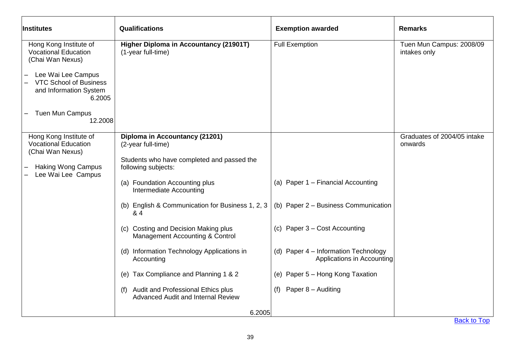| <b>Institutes</b>                                                                       | Qualifications                                                               | <b>Exemption awarded</b>                                           | <b>Remarks</b>                           |
|-----------------------------------------------------------------------------------------|------------------------------------------------------------------------------|--------------------------------------------------------------------|------------------------------------------|
| Hong Kong Institute of<br><b>Vocational Education</b><br>(Chai Wan Nexus)               | <b>Higher Diploma in Accountancy (21901T)</b><br>(1-year full-time)          | <b>Full Exemption</b>                                              | Tuen Mun Campus: 2008/09<br>intakes only |
| Lee Wai Lee Campus<br><b>VTC School of Business</b><br>and Information System<br>6.2005 |                                                                              |                                                                    |                                          |
| <b>Tuen Mun Campus</b><br>12.2008                                                       |                                                                              |                                                                    |                                          |
| Hong Kong Institute of<br><b>Vocational Education</b><br>(Chai Wan Nexus)               | Diploma in Accountancy (21201)<br>(2-year full-time)                         |                                                                    | Graduates of 2004/05 intake<br>onwards   |
| <b>Haking Wong Campus</b><br>Lee Wai Lee Campus                                         | Students who have completed and passed the<br>following subjects:            |                                                                    |                                          |
|                                                                                         | (a) Foundation Accounting plus<br>Intermediate Accounting                    | (a) Paper 1 - Financial Accounting                                 |                                          |
|                                                                                         | (b) English & Communication for Business 1, 2, 3<br>& 4                      | (b) Paper 2 - Business Communication                               |                                          |
|                                                                                         | (c) Costing and Decision Making plus<br>Management Accounting & Control      | (c) Paper 3 - Cost Accounting                                      |                                          |
|                                                                                         | (d) Information Technology Applications in<br>Accounting                     | (d) Paper 4 - Information Technology<br>Applications in Accounting |                                          |
|                                                                                         | (e) Tax Compliance and Planning 1 & 2                                        | (e) Paper 5 - Hong Kong Taxation                                   |                                          |
|                                                                                         | (f) Audit and Professional Ethics plus<br>Advanced Audit and Internal Review | Paper 8 - Auditing<br>(f)                                          |                                          |
|                                                                                         | 6.2005                                                                       |                                                                    |                                          |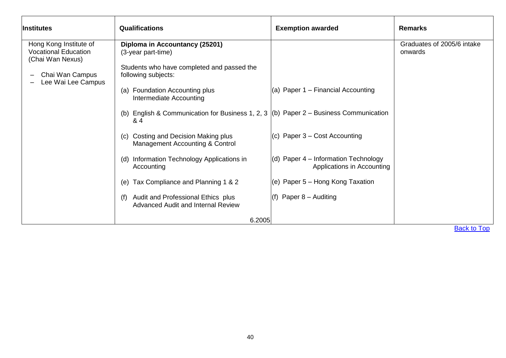| <b>Institutes</b>                                                         | Qualifications                                                                                     | <b>Exemption awarded</b>                                             | <b>Remarks</b>                        |
|---------------------------------------------------------------------------|----------------------------------------------------------------------------------------------------|----------------------------------------------------------------------|---------------------------------------|
| Hong Kong Institute of<br><b>Vocational Education</b><br>(Chai Wan Nexus) | Diploma in Accountancy (25201)<br>(3-year part-time)<br>Students who have completed and passed the |                                                                      | Graduates of 2005/6 intake<br>onwards |
| Chai Wan Campus<br>Lee Wai Lee Campus                                     | following subjects:<br>Foundation Accounting plus<br>(a)<br>Intermediate Accounting                | (a) Paper $1$ – Financial Accounting                                 |                                       |
|                                                                           | English & Communication for Business 1, 2, 3 (b) Paper $2 -$ Business Communication<br>(b)<br>& 4  |                                                                      |                                       |
|                                                                           | Costing and Decision Making plus<br>(c)<br>Management Accounting & Control                         | (c) Paper $3 - Cost$ Accounting                                      |                                       |
|                                                                           | Information Technology Applications in<br>(d)<br>Accounting                                        | $(d)$ Paper 4 – Information Technology<br>Applications in Accounting |                                       |
|                                                                           | Tax Compliance and Planning 1 & 2<br>(e)                                                           | (e) Paper 5 – Hong Kong Taxation                                     |                                       |
|                                                                           | Audit and Professional Ethics plus<br>(f)<br>Advanced Audit and Internal Review                    | $(f)$ Paper 8 – Auditing                                             |                                       |
|                                                                           | 6.2005                                                                                             |                                                                      |                                       |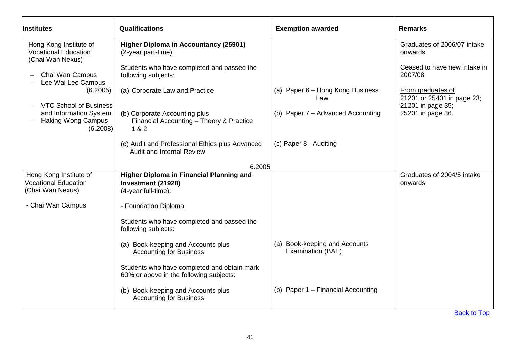| <b>Institutes</b>                                                                                                                                                                                                                  | <b>Qualifications</b>                                                                                                                                                                                                                                                                                                                                                                                                        | <b>Exemption awarded</b>                                                                               | <b>Remarks</b>                                                                                                                                                                 |
|------------------------------------------------------------------------------------------------------------------------------------------------------------------------------------------------------------------------------------|------------------------------------------------------------------------------------------------------------------------------------------------------------------------------------------------------------------------------------------------------------------------------------------------------------------------------------------------------------------------------------------------------------------------------|--------------------------------------------------------------------------------------------------------|--------------------------------------------------------------------------------------------------------------------------------------------------------------------------------|
| Hong Kong Institute of<br><b>Vocational Education</b><br>(Chai Wan Nexus)<br>Chai Wan Campus<br>Lee Wai Lee Campus<br>(6.2005)<br><b>VTC School of Business</b><br>and Information System<br><b>Haking Wong Campus</b><br>(6.2008) | <b>Higher Diploma in Accountancy (25901)</b><br>(2-year part-time):<br>Students who have completed and passed the<br>following subjects:<br>(a) Corporate Law and Practice<br>(b) Corporate Accounting plus<br>Financial Accounting - Theory & Practice<br>1 & 2<br>(c) Audit and Professional Ethics plus Advanced                                                                                                          | (a) Paper 6 – Hong Kong Business<br>Law<br>(b) Paper 7 - Advanced Accounting<br>(c) Paper 8 - Auditing | Graduates of 2006/07 intake<br>onwards<br>Ceased to have new intake in<br>2007/08<br>From graduates of<br>21201 or 25401 in page 23;<br>21201 in page 35;<br>25201 in page 36. |
|                                                                                                                                                                                                                                    | <b>Audit and Internal Review</b><br>6.2005                                                                                                                                                                                                                                                                                                                                                                                   |                                                                                                        |                                                                                                                                                                                |
| Hong Kong Institute of<br><b>Vocational Education</b><br>(Chai Wan Nexus)<br>- Chai Wan Campus                                                                                                                                     | Higher Diploma in Financial Planning and<br>Investment (21928)<br>(4-year full-time):<br>- Foundation Diploma<br>Students who have completed and passed the<br>following subjects:<br>(a) Book-keeping and Accounts plus<br><b>Accounting for Business</b><br>Students who have completed and obtain mark<br>60% or above in the following subjects:<br>(b) Book-keeping and Accounts plus<br><b>Accounting for Business</b> | (a) Book-keeping and Accounts<br>Examination (BAE)<br>(b) Paper 1 - Financial Accounting               | Graduates of 2004/5 intake<br>onwards<br><b>Back to Top</b>                                                                                                                    |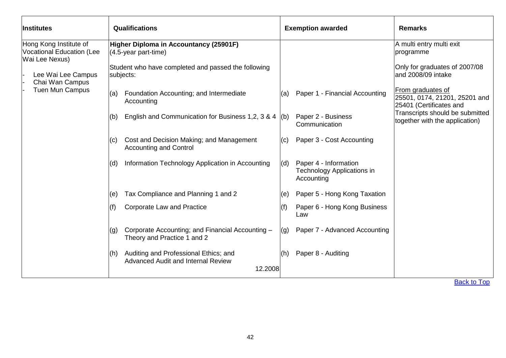| <b>Institutes</b>                                                                                                                        | Qualifications                                                                                                                                                                                | <b>Exemption awarded</b>                                                        | <b>Remarks</b>                                                                                                                                     |
|------------------------------------------------------------------------------------------------------------------------------------------|-----------------------------------------------------------------------------------------------------------------------------------------------------------------------------------------------|---------------------------------------------------------------------------------|----------------------------------------------------------------------------------------------------------------------------------------------------|
| Hong Kong Institute of<br><b>Vocational Education (Lee</b><br>Wai Lee Nexus)<br>Lee Wai Lee Campus<br>Chai Wan Campus<br>Tuen Mun Campus | Higher Diploma in Accountancy (25901F)<br>$(4.5\text{-}year part-time)$<br>Student who have completed and passed the following<br>subjects:<br>Foundation Accounting; and Intermediate<br>(a) | Paper 1 - Financial Accounting<br>(a)                                           | A multi entry multi exit<br>programme<br>Only for graduates of 2007/08<br>and 2008/09 intake<br>From graduates of<br>25501, 0174, 21201, 25201 and |
|                                                                                                                                          | Accounting<br>English and Communication for Business 1,2, 3 & 4 $($ b)<br>(b)                                                                                                                 | Paper 2 - Business<br>Communication                                             | 25401 (Certificates and<br>Transcripts should be submitted<br>together with the application)                                                       |
|                                                                                                                                          | Cost and Decision Making; and Management<br>(C)<br><b>Accounting and Control</b>                                                                                                              | Paper 3 - Cost Accounting<br>(c)                                                |                                                                                                                                                    |
|                                                                                                                                          | Information Technology Application in Accounting<br>(d)                                                                                                                                       | Paper 4 - Information<br>(d)<br><b>Technology Applications in</b><br>Accounting |                                                                                                                                                    |
|                                                                                                                                          | Tax Compliance and Planning 1 and 2<br>(e)                                                                                                                                                    | Paper 5 - Hong Kong Taxation<br>(e)                                             |                                                                                                                                                    |
|                                                                                                                                          | <b>Corporate Law and Practice</b><br>(f)                                                                                                                                                      | (f)<br>Paper 6 - Hong Kong Business<br>Law                                      |                                                                                                                                                    |
|                                                                                                                                          | Corporate Accounting; and Financial Accounting -<br>(g)<br>Theory and Practice 1 and 2                                                                                                        | Paper 7 - Advanced Accounting<br>(g)                                            |                                                                                                                                                    |
|                                                                                                                                          | Auditing and Professional Ethics; and<br>l(h)<br><b>Advanced Audit and Internal Review</b><br>12.2008                                                                                         | Paper 8 - Auditing<br>(h)                                                       | $D = -1$ , $1 - T$ ,                                                                                                                               |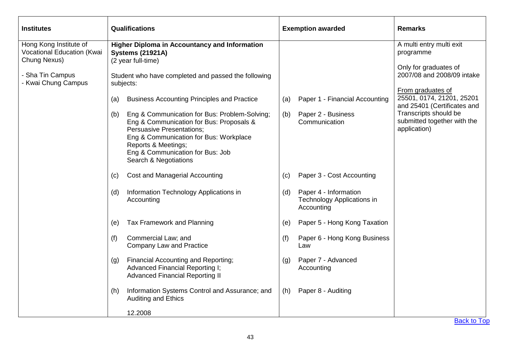| <b>Institutes</b>                                                    | Qualifications                                                                                                                                                                                                                                                     | <b>Exemption awarded</b>                                                        | <b>Remarks</b>                                                           |
|----------------------------------------------------------------------|--------------------------------------------------------------------------------------------------------------------------------------------------------------------------------------------------------------------------------------------------------------------|---------------------------------------------------------------------------------|--------------------------------------------------------------------------|
| Hong Kong Institute of<br>Vocational Education (Kwai<br>Chung Nexus) | <b>Higher Diploma in Accountancy and Information</b><br><b>Systems (21921A)</b><br>(2 year full-time)                                                                                                                                                              |                                                                                 | A multi entry multi exit<br>programme                                    |
| - Sha Tin Campus<br>- Kwai Chung Campus                              | Student who have completed and passed the following<br>subjects:                                                                                                                                                                                                   |                                                                                 | Only for graduates of<br>2007/08 and 2008/09 intake<br>From graduates of |
|                                                                      | <b>Business Accounting Principles and Practice</b><br>(a)                                                                                                                                                                                                          | Paper 1 - Financial Accounting<br>(a)                                           | 25501, 0174, 21201, 25201<br>and 25401 (Certificates and                 |
|                                                                      | Eng & Communication for Bus: Problem-Solving;<br>(b)<br>Eng & Communication for Bus: Proposals &<br><b>Persuasive Presentations;</b><br>Eng & Communication for Bus: Workplace<br>Reports & Meetings;<br>Eng & Communication for Bus: Job<br>Search & Negotiations | Paper 2 - Business<br>(b)<br>Communication                                      | Transcripts should be<br>submitted together with the<br>application)     |
|                                                                      | <b>Cost and Managerial Accounting</b><br>(c)                                                                                                                                                                                                                       | Paper 3 - Cost Accounting<br>(c)                                                |                                                                          |
|                                                                      | Information Technology Applications in<br>(d)<br>Accounting                                                                                                                                                                                                        | Paper 4 - Information<br>(d)<br><b>Technology Applications in</b><br>Accounting |                                                                          |
|                                                                      | Tax Framework and Planning<br>(e)                                                                                                                                                                                                                                  | Paper 5 - Hong Kong Taxation<br>(e)                                             |                                                                          |
|                                                                      | Commercial Law; and<br>(f)<br><b>Company Law and Practice</b>                                                                                                                                                                                                      | Paper 6 - Hong Kong Business<br>(f)<br>Law                                      |                                                                          |
|                                                                      | <b>Financial Accounting and Reporting;</b><br>(g)<br>Advanced Financial Reporting I;<br><b>Advanced Financial Reporting II</b>                                                                                                                                     | Paper 7 - Advanced<br>(g)<br>Accounting                                         |                                                                          |
|                                                                      | Information Systems Control and Assurance; and<br>(h)<br><b>Auditing and Ethics</b>                                                                                                                                                                                | Paper 8 - Auditing<br>(h)                                                       |                                                                          |
|                                                                      | 12.2008                                                                                                                                                                                                                                                            |                                                                                 |                                                                          |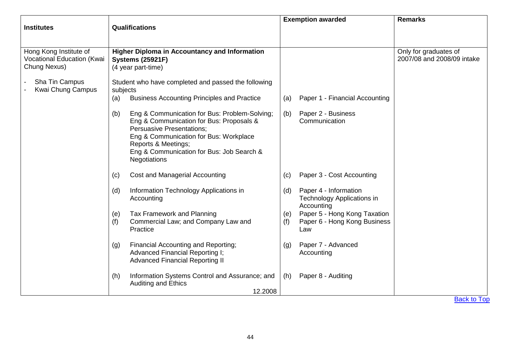|                                                                      |                                                                                                                                                                                                                                                                    | <b>Exemption awarded</b>                                                          | <b>Remarks</b>                                      |
|----------------------------------------------------------------------|--------------------------------------------------------------------------------------------------------------------------------------------------------------------------------------------------------------------------------------------------------------------|-----------------------------------------------------------------------------------|-----------------------------------------------------|
| <b>Institutes</b>                                                    | <b>Qualifications</b>                                                                                                                                                                                                                                              |                                                                                   |                                                     |
|                                                                      |                                                                                                                                                                                                                                                                    |                                                                                   |                                                     |
| Hong Kong Institute of<br>Vocational Education (Kwai<br>Chung Nexus) | <b>Higher Diploma in Accountancy and Information</b><br><b>Systems (25921F)</b><br>(4 year part-time)                                                                                                                                                              |                                                                                   | Only for graduates of<br>2007/08 and 2008/09 intake |
| Sha Tin Campus<br>Kwai Chung Campus                                  | Student who have completed and passed the following<br>subjects                                                                                                                                                                                                    |                                                                                   |                                                     |
|                                                                      | <b>Business Accounting Principles and Practice</b><br>(a)                                                                                                                                                                                                          | Paper 1 - Financial Accounting<br>(a)                                             |                                                     |
|                                                                      | Eng & Communication for Bus: Problem-Solving;<br>(b)<br>Eng & Communication for Bus: Proposals &<br><b>Persuasive Presentations;</b><br>Eng & Communication for Bus: Workplace<br>Reports & Meetings;<br>Eng & Communication for Bus: Job Search &<br>Negotiations | Paper 2 - Business<br>(b)<br>Communication                                        |                                                     |
|                                                                      | <b>Cost and Managerial Accounting</b><br>(c)                                                                                                                                                                                                                       | Paper 3 - Cost Accounting<br>(c)                                                  |                                                     |
|                                                                      | Information Technology Applications in<br>(d)<br>Accounting                                                                                                                                                                                                        | Paper 4 - Information<br>(d)<br>Technology Applications in<br>Accounting          |                                                     |
|                                                                      | Tax Framework and Planning<br>(e)<br>(f)<br>Commercial Law; and Company Law and<br>Practice                                                                                                                                                                        | Paper 5 - Hong Kong Taxation<br>(e)<br>Paper 6 - Hong Kong Business<br>(f)<br>Law |                                                     |
|                                                                      | Financial Accounting and Reporting;<br>(g)<br>Advanced Financial Reporting I;<br><b>Advanced Financial Reporting II</b>                                                                                                                                            | Paper 7 - Advanced<br>(g)<br>Accounting                                           |                                                     |
|                                                                      | Information Systems Control and Assurance; and<br>(h)<br><b>Auditing and Ethics</b>                                                                                                                                                                                | Paper 8 - Auditing<br>(h)                                                         |                                                     |
|                                                                      | 12.2008                                                                                                                                                                                                                                                            |                                                                                   | <b>Back to Top</b>                                  |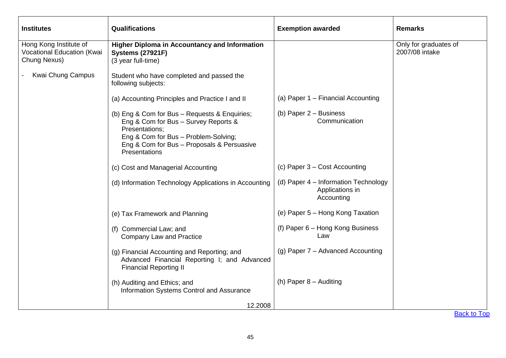| <b>Institutes</b>                                                    | <b>Qualifications</b>                                                                                                                                                                                          | <b>Exemption awarded</b>                                              | <b>Remarks</b>                          |
|----------------------------------------------------------------------|----------------------------------------------------------------------------------------------------------------------------------------------------------------------------------------------------------------|-----------------------------------------------------------------------|-----------------------------------------|
| Hong Kong Institute of<br>Vocational Education (Kwai<br>Chung Nexus) | <b>Higher Diploma in Accountancy and Information</b><br><b>Systems (27921F)</b><br>(3 year full-time)                                                                                                          |                                                                       | Only for graduates of<br>2007/08 intake |
| Kwai Chung Campus                                                    | Student who have completed and passed the<br>following subjects:                                                                                                                                               |                                                                       |                                         |
|                                                                      | (a) Accounting Principles and Practice I and II                                                                                                                                                                | (a) Paper 1 - Financial Accounting                                    |                                         |
|                                                                      | (b) Eng & Com for Bus - Requests & Enquiries;<br>Eng & Com for Bus - Survey Reports &<br>Presentations:<br>Eng & Com for Bus - Problem-Solving;<br>Eng & Com for Bus - Proposals & Persuasive<br>Presentations | (b) Paper $2 -$ Business<br>Communication                             |                                         |
|                                                                      | (c) Cost and Managerial Accounting                                                                                                                                                                             | (c) Paper 3 – Cost Accounting                                         |                                         |
|                                                                      | (d) Information Technology Applications in Accounting                                                                                                                                                          | (d) Paper 4 - Information Technology<br>Applications in<br>Accounting |                                         |
|                                                                      | (e) Tax Framework and Planning                                                                                                                                                                                 | (e) Paper 5 – Hong Kong Taxation                                      |                                         |
|                                                                      | (f) Commercial Law; and<br><b>Company Law and Practice</b>                                                                                                                                                     | (f) Paper 6 - Hong Kong Business<br>Law                               |                                         |
|                                                                      | (g) Financial Accounting and Reporting; and<br>Advanced Financial Reporting I; and Advanced<br><b>Financial Reporting II</b>                                                                                   | (g) Paper $7 -$ Advanced Accounting                                   |                                         |
|                                                                      | (h) Auditing and Ethics; and<br>Information Systems Control and Assurance                                                                                                                                      | (h) Paper $8 -$ Auditing                                              |                                         |
|                                                                      | 12.2008                                                                                                                                                                                                        |                                                                       | $D = -1$ , $1 - T$ ,                    |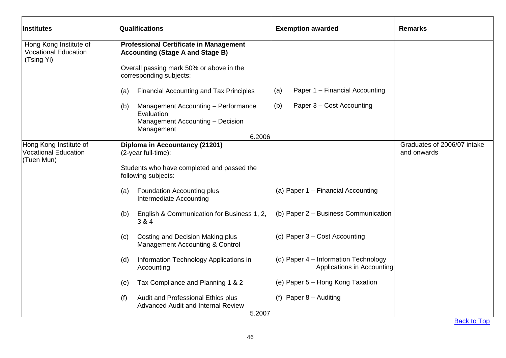| <b>Institutes</b>                                                   | <b>Qualifications</b>                                                                     | <b>Exemption awarded</b>                                           | <b>Remarks</b>              |
|---------------------------------------------------------------------|-------------------------------------------------------------------------------------------|--------------------------------------------------------------------|-----------------------------|
| Hong Kong Institute of<br><b>Vocational Education</b><br>(Tsing Yi) | <b>Professional Certificate in Management</b><br><b>Accounting (Stage A and Stage B)</b>  |                                                                    |                             |
|                                                                     | Overall passing mark 50% or above in the<br>corresponding subjects:                       |                                                                    |                             |
|                                                                     | <b>Financial Accounting and Tax Principles</b><br>(a)                                     | Paper 1 - Financial Accounting<br>(a)                              |                             |
|                                                                     | Management Accounting - Performance<br>(b)<br>Evaluation                                  | (b)<br>Paper 3 - Cost Accounting                                   |                             |
|                                                                     | Management Accounting - Decision<br>Management<br>6.2006                                  |                                                                    |                             |
| Hong Kong Institute of                                              | Diploma in Accountancy (21201)                                                            |                                                                    | Graduates of 2006/07 intake |
| <b>Vocational Education</b><br>(Tuen Mun)                           | (2-year full-time):                                                                       |                                                                    | and onwards                 |
|                                                                     | Students who have completed and passed the<br>following subjects:                         |                                                                    |                             |
|                                                                     | <b>Foundation Accounting plus</b><br>(a)<br>Intermediate Accounting                       | (a) Paper 1 - Financial Accounting                                 |                             |
|                                                                     | English & Communication for Business 1, 2,<br>(b)<br>3 & 4                                | (b) Paper 2 - Business Communication                               |                             |
|                                                                     | Costing and Decision Making plus<br>(c)<br>Management Accounting & Control                | (c) Paper 3 – Cost Accounting                                      |                             |
|                                                                     | Information Technology Applications in<br>(d)<br>Accounting                               | (d) Paper 4 – Information Technology<br>Applications in Accounting |                             |
|                                                                     | Tax Compliance and Planning 1 & 2<br>(e)                                                  | (e) Paper 5 - Hong Kong Taxation                                   |                             |
|                                                                     | Audit and Professional Ethics plus<br>(f)<br>Advanced Audit and Internal Review<br>5.2007 | (f) Paper $8 -$ Auditing                                           |                             |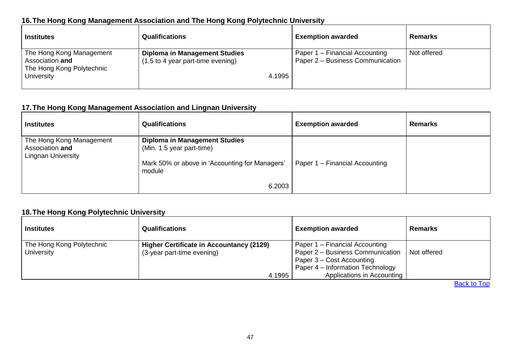## **16.The Hong Kong Management Association and The Hong Kong Polytechnic University**

| <b>Institutes</b>                                                                      | <b>Qualifications</b>                                                               | <b>Exemption awarded</b>                                           | <b>Remarks</b> |
|----------------------------------------------------------------------------------------|-------------------------------------------------------------------------------------|--------------------------------------------------------------------|----------------|
| The Hong Kong Management<br>Association and<br>The Hong Kong Polytechnic<br>University | <b>Diploma in Management Studies</b><br>(1.5 to 4 year part-time evening)<br>4.1995 | Paper 1 – Financial Accounting<br>Paper 2 – Business Communication | Not offered    |

### **17.The Hong Kong Management Association and Lingnan University**

| <b>Institutes</b>                                                        | <b>Qualifications</b>                                                                                               | <b>Exemption awarded</b>       | <b>Remarks</b> |
|--------------------------------------------------------------------------|---------------------------------------------------------------------------------------------------------------------|--------------------------------|----------------|
| The Hong Kong Management<br>Association and<br><b>Lingnan University</b> | <b>Diploma in Management Studies</b><br>(Min. 1.5 year part-time)<br>Mark 50% or above in 'Accounting for Managers' | Paper 1 - Financial Accounting |                |
|                                                                          | module<br>6.2003                                                                                                    |                                |                |

## **18.The Hong Kong Polytechnic University**

| <b>Institutes</b>                       | <b>Qualifications</b>                                                                   | <b>Exemption awarded</b>                                                                                                                                          | <b>Remarks</b> |
|-----------------------------------------|-----------------------------------------------------------------------------------------|-------------------------------------------------------------------------------------------------------------------------------------------------------------------|----------------|
| The Hong Kong Polytechnic<br>University | <b>Higher Certificate in Accountancy (2129)</b><br>(3-year part-time evening)<br>4.1995 | Paper 1 – Financial Accounting<br>Paper 2 - Business Communication<br>Paper 3 – Cost Accounting<br>Paper 4 – Information Technology<br>Applications in Accounting | Not offered    |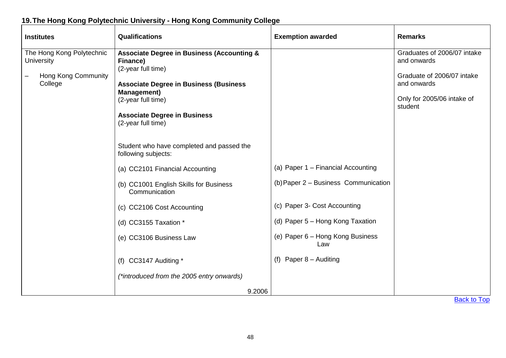# **19.The Hong Kong Polytechnic University - Hong Kong Community College**

| <b>Institutes</b>                                                         | <b>Qualifications</b>                                                                                                                                                                                                                                                                                                                                                                                                                                                                                  | <b>Exemption awarded</b>                                                                                                                                                                  | <b>Remarks</b>                                                                                                                   |
|---------------------------------------------------------------------------|--------------------------------------------------------------------------------------------------------------------------------------------------------------------------------------------------------------------------------------------------------------------------------------------------------------------------------------------------------------------------------------------------------------------------------------------------------------------------------------------------------|-------------------------------------------------------------------------------------------------------------------------------------------------------------------------------------------|----------------------------------------------------------------------------------------------------------------------------------|
| The Hong Kong Polytechnic<br>University<br>Hong Kong Community<br>College | <b>Associate Degree in Business (Accounting &amp;</b><br>Finance)<br>(2-year full time)<br><b>Associate Degree in Business (Business</b><br><b>Management</b> )<br>(2-year full time)<br><b>Associate Degree in Business</b><br>(2-year full time)<br>Student who have completed and passed the<br>following subjects:<br>(a) CC2101 Financial Accounting<br>(b) CC1001 English Skills for Business<br>Communication<br>(c) CC2106 Cost Accounting<br>(d) CC3155 Taxation *<br>(e) CC3106 Business Law | (a) Paper 1 - Financial Accounting<br>(b) Paper 2 - Business Communication<br>(c) Paper 3- Cost Accounting<br>(d) Paper 5 - Hong Kong Taxation<br>(e) Paper 6 - Hong Kong Business<br>Law | Graduates of 2006/07 intake<br>and onwards<br>Graduate of 2006/07 intake<br>and onwards<br>Only for 2005/06 intake of<br>student |
|                                                                           | (f) CC3147 Auditing *                                                                                                                                                                                                                                                                                                                                                                                                                                                                                  | (f) Paper $8 -$ Auditing                                                                                                                                                                  |                                                                                                                                  |
|                                                                           | (*introduced from the 2005 entry onwards)<br>9.2006                                                                                                                                                                                                                                                                                                                                                                                                                                                    |                                                                                                                                                                                           |                                                                                                                                  |
|                                                                           |                                                                                                                                                                                                                                                                                                                                                                                                                                                                                                        |                                                                                                                                                                                           |                                                                                                                                  |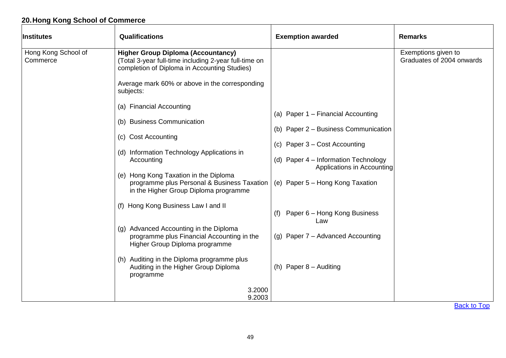# **20.Hong Kong School of Commerce**

| Hong Kong School of<br><b>Higher Group Diploma (Accountancy)</b><br>Exemptions given to<br>Graduates of 2004 onwards<br>Commerce<br>(Total 3-year full-time including 2-year full-time on<br>completion of Diploma in Accounting Studies)<br>Average mark 60% or above in the corresponding<br>subjects:<br>(a) Financial Accounting<br>(a) Paper 1 - Financial Accounting<br>(b) Business Communication<br>(b) Paper 2 - Business Communication<br>(c) Cost Accounting<br>(c) Paper 3 – Cost Accounting<br>(d) Information Technology Applications in<br>(d) Paper 4 - Information Technology<br>Accounting<br>Applications in Accounting<br>(e) Hong Kong Taxation in the Diploma<br>programme plus Personal & Business Taxation<br>(e) Paper 5 – Hong Kong Taxation<br>in the Higher Group Diploma programme<br>(f) Hong Kong Business Law I and II<br>Paper 6 – Hong Kong Business<br>(f)<br>Law<br>(g) Advanced Accounting in the Diploma<br>programme plus Financial Accounting in the<br>(g) Paper 7 - Advanced Accounting<br>Higher Group Diploma programme<br>(h) Auditing in the Diploma programme plus<br>Auditing in the Higher Group Diploma<br>(h) Paper $8 -$ Auditing<br>programme<br>3.2000<br>9.2003 | Institutes | Qualifications | <b>Exemption awarded</b> | <b>Remarks</b> |
|------------------------------------------------------------------------------------------------------------------------------------------------------------------------------------------------------------------------------------------------------------------------------------------------------------------------------------------------------------------------------------------------------------------------------------------------------------------------------------------------------------------------------------------------------------------------------------------------------------------------------------------------------------------------------------------------------------------------------------------------------------------------------------------------------------------------------------------------------------------------------------------------------------------------------------------------------------------------------------------------------------------------------------------------------------------------------------------------------------------------------------------------------------------------------------------------------------------------|------------|----------------|--------------------------|----------------|
|                                                                                                                                                                                                                                                                                                                                                                                                                                                                                                                                                                                                                                                                                                                                                                                                                                                                                                                                                                                                                                                                                                                                                                                                                        |            |                |                          |                |
|                                                                                                                                                                                                                                                                                                                                                                                                                                                                                                                                                                                                                                                                                                                                                                                                                                                                                                                                                                                                                                                                                                                                                                                                                        |            |                |                          |                |
|                                                                                                                                                                                                                                                                                                                                                                                                                                                                                                                                                                                                                                                                                                                                                                                                                                                                                                                                                                                                                                                                                                                                                                                                                        |            |                |                          |                |
|                                                                                                                                                                                                                                                                                                                                                                                                                                                                                                                                                                                                                                                                                                                                                                                                                                                                                                                                                                                                                                                                                                                                                                                                                        |            |                |                          |                |
|                                                                                                                                                                                                                                                                                                                                                                                                                                                                                                                                                                                                                                                                                                                                                                                                                                                                                                                                                                                                                                                                                                                                                                                                                        |            |                |                          |                |
|                                                                                                                                                                                                                                                                                                                                                                                                                                                                                                                                                                                                                                                                                                                                                                                                                                                                                                                                                                                                                                                                                                                                                                                                                        |            |                |                          |                |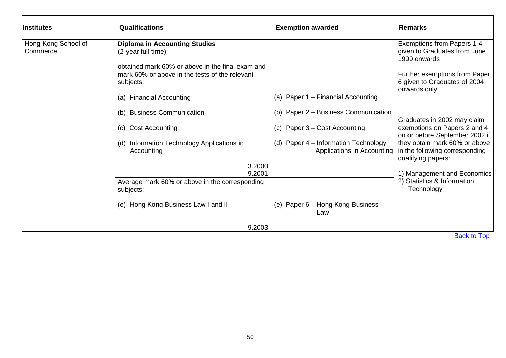| <b>Institutes</b>               | <b>Qualifications</b>                                                                                          | <b>Exemption awarded</b>                                           | <b>Remarks</b>                                                                        |
|---------------------------------|----------------------------------------------------------------------------------------------------------------|--------------------------------------------------------------------|---------------------------------------------------------------------------------------|
| Hong Kong School of<br>Commerce | <b>Diploma in Accounting Studies</b><br>(2-year full-time)<br>obtained mark 60% or above in the final exam and |                                                                    | Exemptions from Papers 1-4<br>given to Graduates from June<br>1999 onwards            |
|                                 | mark 60% or above in the tests of the relevant<br>subjects:                                                    |                                                                    | Further exemptions from Paper<br>6 given to Graduates of 2004<br>onwards only         |
|                                 | (a) Financial Accounting                                                                                       | (a) Paper 1 – Financial Accounting                                 |                                                                                       |
|                                 | (b) Business Communication I                                                                                   | (b) Paper 2 – Business Communication                               | Graduates in 2002 may claim                                                           |
|                                 | (c) Cost Accounting                                                                                            | (c) Paper 3 – Cost Accounting                                      | exemptions on Papers 2 and 4<br>on or before September 2002 if                        |
|                                 | (d) Information Technology Applications in<br>Accounting                                                       | (d) Paper 4 - Information Technology<br>Applications in Accounting | they obtain mark 60% or above<br>in the following corresponding<br>qualifying papers: |
|                                 | 3.2000<br>9.2001                                                                                               |                                                                    | 1) Management and Economics                                                           |
|                                 | Average mark 60% or above in the corresponding<br>subjects:                                                    |                                                                    | 2) Statistics & Information<br>Technology                                             |
|                                 | (e) Hong Kong Business Law I and II                                                                            | (e) Paper 6 - Hong Kong Business<br>Law                            |                                                                                       |
|                                 | 9.2003                                                                                                         |                                                                    |                                                                                       |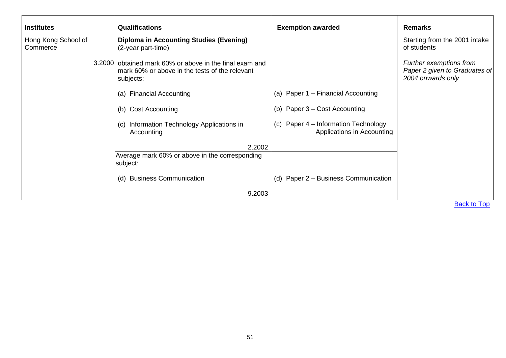| <b>Institutes</b>   | <b>Qualifications</b>                                       | <b>Exemption awarded</b>                                              | <b>Remarks</b>                                     |
|---------------------|-------------------------------------------------------------|-----------------------------------------------------------------------|----------------------------------------------------|
| Hong Kong School of | <b>Diploma in Accounting Studies (Evening)</b>              |                                                                       | Starting from the 2001 intake                      |
| Commerce            | (2-year part-time)                                          |                                                                       | of students                                        |
|                     | 3.2000 obtained mark 60% or above in the final exam and     |                                                                       | Further exemptions from                            |
|                     | mark 60% or above in the tests of the relevant<br>subjects: |                                                                       | Paper 2 given to Graduates of<br>2004 onwards only |
|                     | (a) Financial Accounting                                    | (a) Paper 1 – Financial Accounting                                    |                                                    |
|                     | (b) Cost Accounting                                         | Paper 3 – Cost Accounting<br>(b)                                      |                                                    |
|                     | (c) Information Technology Applications in<br>Accounting    | Paper 4 – Information Technology<br>(C)<br>Applications in Accounting |                                                    |
|                     | 2.2002                                                      |                                                                       |                                                    |
|                     | Average mark 60% or above in the corresponding<br>subject:  |                                                                       |                                                    |
|                     | (d) Business Communication                                  | Paper 2 - Business Communication<br>(d)                               |                                                    |
|                     | 9.2003                                                      |                                                                       |                                                    |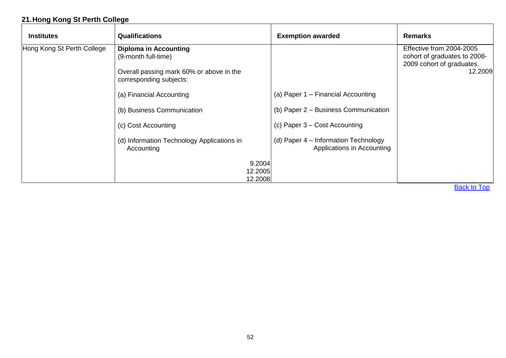# **21.Hong Kong St Perth College**

| <b>Diploma in Accounting</b><br>(9-month full-time)<br>Overall passing mark 60% or above in the |                                                                    | Effective from 2004-2005<br>cohort of graduates to 2008- |
|-------------------------------------------------------------------------------------------------|--------------------------------------------------------------------|----------------------------------------------------------|
|                                                                                                 |                                                                    | 2009 cohort of graduates.<br>12.2009                     |
| corresponding subjects:                                                                         |                                                                    |                                                          |
| (a) Financial Accounting                                                                        | (a) Paper 1 – Financial Accounting                                 |                                                          |
| (b) Business Communication                                                                      | (b) Paper 2 – Business Communication                               |                                                          |
| (c) Cost Accounting                                                                             | (c) Paper $3 - Cost$ Accounting                                    |                                                          |
| (d) Information Technology Applications in                                                      | (d) Paper 4 – Information Technology<br>Applications in Accounting |                                                          |
|                                                                                                 |                                                                    |                                                          |
|                                                                                                 |                                                                    | 9.2004<br>12.2005<br>12.2008                             |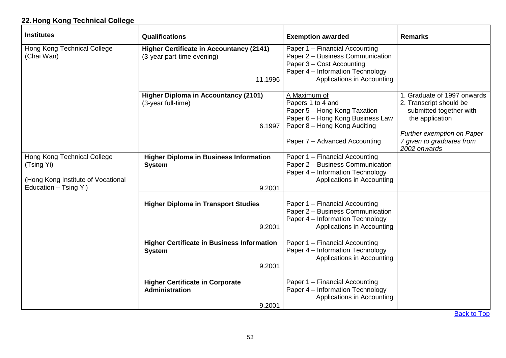# **22.Hong Kong Technical College**

| <b>Institutes</b>                                                                                        | <b>Qualifications</b>                                                                    | <b>Exemption awarded</b>                                                                                                                                               | <b>Remarks</b>                                                                                                                                                                  |
|----------------------------------------------------------------------------------------------------------|------------------------------------------------------------------------------------------|------------------------------------------------------------------------------------------------------------------------------------------------------------------------|---------------------------------------------------------------------------------------------------------------------------------------------------------------------------------|
| Hong Kong Technical College<br>(Chai Wan)                                                                | <b>Higher Certificate in Accountancy (2141)</b><br>(3-year part-time evening)<br>11.1996 | Paper 1 - Financial Accounting<br>Paper 2 - Business Communication<br>Paper 3 - Cost Accounting<br>Paper 4 - Information Technology<br>Applications in Accounting      |                                                                                                                                                                                 |
|                                                                                                          | <b>Higher Diploma in Accountancy (2101)</b><br>(3-year full-time)<br>6.1997              | A Maximum of<br>Papers 1 to 4 and<br>Paper 5 - Hong Kong Taxation<br>Paper 6 - Hong Kong Business Law<br>Paper 8 - Hong Kong Auditing<br>Paper 7 - Advanced Accounting | 1. Graduate of 1997 onwards<br>2. Transcript should be<br>submitted together with<br>the application<br>Further exemption on Paper<br>7 given to graduates from<br>2002 onwards |
| Hong Kong Technical College<br>(Tsing Yi)<br>(Hong Kong Institute of Vocational<br>Education - Tsing Yi) | <b>Higher Diploma in Business Information</b><br><b>System</b><br>9.2001                 | Paper 1 - Financial Accounting<br>Paper 2 - Business Communication<br>Paper 4 - Information Technology<br>Applications in Accounting                                   |                                                                                                                                                                                 |
|                                                                                                          | <b>Higher Diploma in Transport Studies</b><br>9.2001                                     | Paper 1 - Financial Accounting<br>Paper 2 - Business Communication<br>Paper 4 - Information Technology<br>Applications in Accounting                                   |                                                                                                                                                                                 |
|                                                                                                          | <b>Higher Certificate in Business Information</b><br><b>System</b><br>9.2001             | Paper 1 - Financial Accounting<br>Paper 4 - Information Technology<br>Applications in Accounting                                                                       |                                                                                                                                                                                 |
|                                                                                                          | <b>Higher Certificate in Corporate</b><br>Administration<br>9.2001                       | Paper 1 - Financial Accounting<br>Paper 4 - Information Technology<br>Applications in Accounting                                                                       |                                                                                                                                                                                 |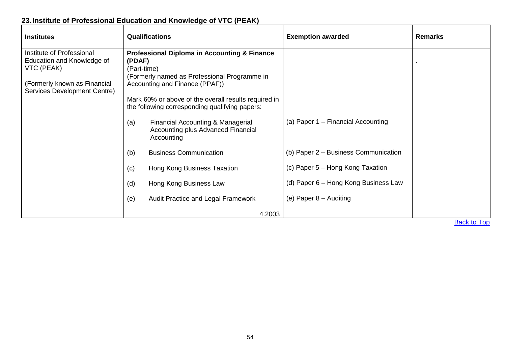# **23.Institute of Professional Education and Knowledge of VTC (PEAK)**

| <b>Institutes</b>                                            | <b>Qualifications</b>                                                                                  | <b>Exemption awarded</b>             | <b>Remarks</b> |
|--------------------------------------------------------------|--------------------------------------------------------------------------------------------------------|--------------------------------------|----------------|
| Institute of Professional                                    | <b>Professional Diploma in Accounting &amp; Finance</b>                                                |                                      |                |
| Education and Knowledge of<br>VTC (PEAK)                     | (PDAF)<br>(Part-time)                                                                                  |                                      |                |
|                                                              | (Formerly named as Professional Programme in                                                           |                                      |                |
| (Formerly known as Financial<br>Services Development Centre) | Accounting and Finance (PPAF))                                                                         |                                      |                |
|                                                              | Mark 60% or above of the overall results required in<br>the following corresponding qualifying papers: |                                      |                |
|                                                              | Financial Accounting & Managerial<br>(a)<br>Accounting plus Advanced Financial<br>Accounting           | (a) Paper 1 – Financial Accounting   |                |
|                                                              | <b>Business Communication</b><br>(b)                                                                   | (b) Paper 2 – Business Communication |                |
|                                                              | Hong Kong Business Taxation<br>(c)                                                                     | (c) Paper 5 – Hong Kong Taxation     |                |
|                                                              | Hong Kong Business Law<br>(d)                                                                          | (d) Paper 6 – Hong Kong Business Law |                |
|                                                              | Audit Practice and Legal Framework<br>(e)                                                              | (e) Paper $8 -$ Auditing             |                |
|                                                              | 4.2003                                                                                                 |                                      | $D = -1.14$    |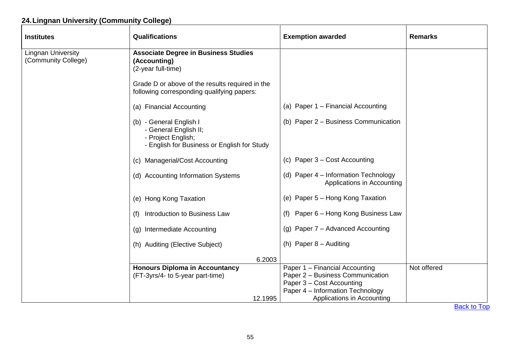# **24.Lingnan University (Community College)**

| <b>Institutes</b>                                | <b>Qualifications</b>                                                                                                 | <b>Exemption awarded</b>                                                                                                            | <b>Remarks</b> |
|--------------------------------------------------|-----------------------------------------------------------------------------------------------------------------------|-------------------------------------------------------------------------------------------------------------------------------------|----------------|
| <b>Lingnan University</b><br>(Community College) | <b>Associate Degree in Business Studies</b><br>(Accounting)<br>(2-year full-time)                                     |                                                                                                                                     |                |
|                                                  | Grade D or above of the results required in the<br>following corresponding qualifying papers:                         |                                                                                                                                     |                |
|                                                  | (a) Financial Accounting                                                                                              | (a) Paper 1 - Financial Accounting                                                                                                  |                |
|                                                  | (b) - General English I<br>- General English II;<br>- Project English;<br>- English for Business or English for Study | (b) Paper 2 - Business Communication                                                                                                |                |
|                                                  | (c) Managerial/Cost Accounting                                                                                        | (c) Paper 3 – Cost Accounting                                                                                                       |                |
|                                                  | (d) Accounting Information Systems                                                                                    | (d) Paper 4 - Information Technology<br>Applications in Accounting                                                                  |                |
|                                                  | (e) Hong Kong Taxation                                                                                                | (e) Paper 5 - Hong Kong Taxation                                                                                                    |                |
|                                                  | Introduction to Business Law<br>(f)                                                                                   | (f) Paper 6 - Hong Kong Business Law                                                                                                |                |
|                                                  | (g) Intermediate Accounting                                                                                           | (g) Paper 7 – Advanced Accounting                                                                                                   |                |
|                                                  | (h) Auditing (Elective Subject)                                                                                       | (h) Paper $8 -$ Auditing                                                                                                            |                |
|                                                  | 6.2003                                                                                                                |                                                                                                                                     |                |
|                                                  | <b>Honours Diploma in Accountancy</b><br>(FT-3yrs/4- to 5-year part-time)                                             | Paper 1 - Financial Accounting<br>Paper 2 - Business Communication<br>Paper 3 - Cost Accounting<br>Paper 4 - Information Technology | Not offered    |
|                                                  | 12.1995                                                                                                               | Applications in Accounting                                                                                                          |                |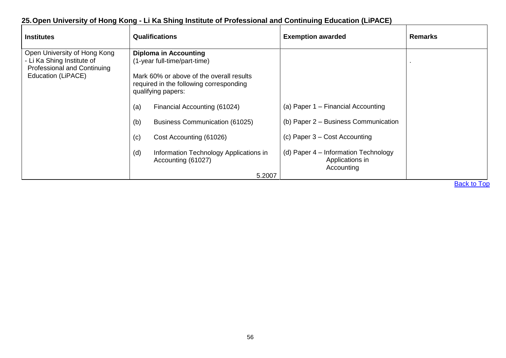# **25.Open University of Hong Kong - Li Ka Shing Institute of Professional and Continuing Education (LiPACE)**

| <b>Institutes</b>                                                                                                      | <b>Qualifications</b>                                                                                                                                                                                                                                                                                                                                                     | <b>Exemption awarded</b>                                                                                                                                                                 | <b>Remarks</b>     |
|------------------------------------------------------------------------------------------------------------------------|---------------------------------------------------------------------------------------------------------------------------------------------------------------------------------------------------------------------------------------------------------------------------------------------------------------------------------------------------------------------------|------------------------------------------------------------------------------------------------------------------------------------------------------------------------------------------|--------------------|
| Open University of Hong Kong<br>- Li Ka Shing Institute of<br><b>Professional and Continuing</b><br>Education (LiPACE) | <b>Diploma in Accounting</b><br>(1-year full-time/part-time)<br>Mark 60% or above of the overall results<br>required in the following corresponding<br>qualifying papers:<br>(a)<br>Financial Accounting (61024)<br>(b)<br><b>Business Communication (61025)</b><br>(c)<br>Cost Accounting (61026)<br>(d)<br>Information Technology Applications in<br>Accounting (61027) | (a) Paper $1 -$ Financial Accounting<br>(b) Paper 2 - Business Communication<br>(c) Paper $3 - Cost$ Accounting<br>(d) Paper 4 – Information Technology<br>Applications in<br>Accounting |                    |
|                                                                                                                        | 5.2007                                                                                                                                                                                                                                                                                                                                                                    |                                                                                                                                                                                          |                    |
|                                                                                                                        |                                                                                                                                                                                                                                                                                                                                                                           |                                                                                                                                                                                          | <b>Back to Top</b> |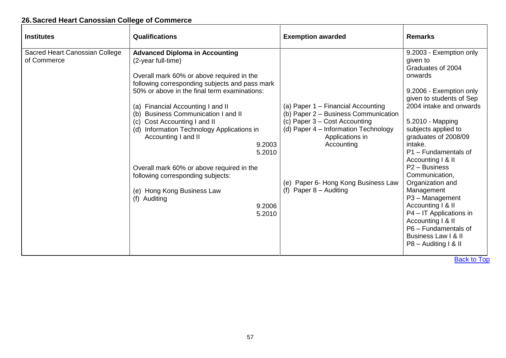# **26.Sacred Heart Canossian College of Commerce**

| <b>Institutes</b>                             | <b>Qualifications</b>                                                                                                                                                                                                                                                                                                                                                                                                                                                                                                                                                               | <b>Exemption awarded</b>                                                                                                                                                                                                                                | <b>Remarks</b>                                                                                                                                                                                                                                                                                                                                                                                                                                                                                                                   |
|-----------------------------------------------|-------------------------------------------------------------------------------------------------------------------------------------------------------------------------------------------------------------------------------------------------------------------------------------------------------------------------------------------------------------------------------------------------------------------------------------------------------------------------------------------------------------------------------------------------------------------------------------|---------------------------------------------------------------------------------------------------------------------------------------------------------------------------------------------------------------------------------------------------------|----------------------------------------------------------------------------------------------------------------------------------------------------------------------------------------------------------------------------------------------------------------------------------------------------------------------------------------------------------------------------------------------------------------------------------------------------------------------------------------------------------------------------------|
| Sacred Heart Canossian College<br>of Commerce | <b>Advanced Diploma in Accounting</b><br>(2-year full-time)<br>Overall mark 60% or above required in the<br>following corresponding subjects and pass mark<br>50% or above in the final term examinations:<br>(a) Financial Accounting I and II<br><b>Business Communication I and II</b><br>(b)<br>Cost Accounting I and II<br>(c)<br>Information Technology Applications in<br>(d)<br>Accounting I and II<br>9.2003<br>5.2010<br>Overall mark 60% or above required in the<br>following corresponding subjects:<br>(e) Hong Kong Business Law<br>(f) Auditing<br>9.2006<br>5.2010 | (a) Paper 1 – Financial Accounting<br>(b) Paper 2 - Business Communication<br>(c) Paper 3 – Cost Accounting<br>(d) Paper 4 - Information Technology<br>Applications in<br>Accounting<br>(e) Paper 6- Hong Kong Business Law<br>(f) Paper $8 -$ Auditing | 9.2003 - Exemption only<br>given to<br>Graduates of 2004<br>onwards<br>9.2006 - Exemption only<br>given to students of Sep<br>2004 intake and onwards<br>5.2010 - Mapping<br>subjects applied to<br>graduates of 2008/09<br>intake.<br>P1 - Fundamentals of<br>Accounting   & II<br>P <sub>2</sub> – Business<br>Communication,<br>Organization and<br>Management<br>P3 - Management<br>Accounting I & II<br>P4 - IT Applications in<br>Accounting I & II<br>P6 - Fundamentals of<br>Business Law I & II<br>P8 - Auditing I & II |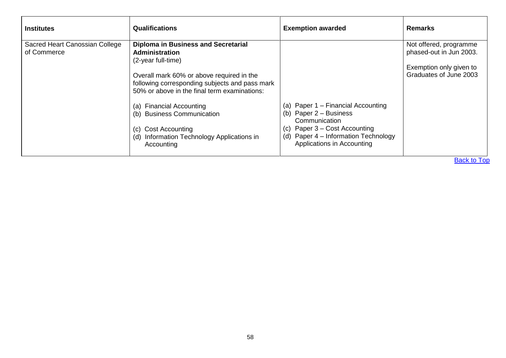| Sacred Heart Canossian College<br>Not offered, programme<br><b>Diploma in Business and Secretarial</b><br>phased-out in Jun 2003.<br>of Commerce<br>Administration<br>(2-year full-time)<br>Overall mark 60% or above required in the<br>following corresponding subjects and pass mark<br>50% or above in the final term examinations:<br>(a) Paper $1$ – Financial Accounting<br><b>Financial Accounting</b><br>(a)<br>(b) Paper $2 -$ Business<br><b>Business Communication</b><br>(b) | <b>Institutes</b> | <b>Qualifications</b> | <b>Exemption awarded</b> | <b>Remarks</b>                                    |
|-------------------------------------------------------------------------------------------------------------------------------------------------------------------------------------------------------------------------------------------------------------------------------------------------------------------------------------------------------------------------------------------------------------------------------------------------------------------------------------------|-------------------|-----------------------|--------------------------|---------------------------------------------------|
| (c) Paper $3 - Cost$ Accounting<br><b>Cost Accounting</b><br>(C)<br>(d) Paper 4 - Information Technology<br>Information Technology Applications in<br>(d)<br>Applications in Accounting<br>Accounting                                                                                                                                                                                                                                                                                     |                   |                       | Communication            | Exemption only given to<br>Graduates of June 2003 |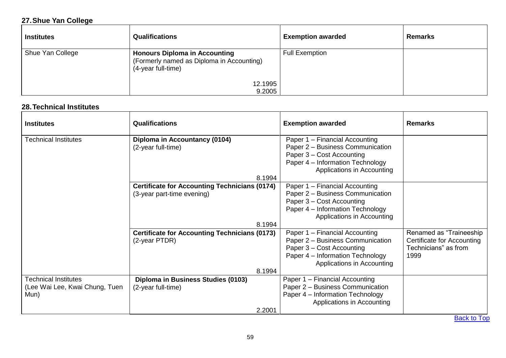# **27.Shue Yan College**

| <b>Institutes</b> | <b>Qualifications</b>                                                                                   | <b>Exemption awarded</b> | <b>Remarks</b> |
|-------------------|---------------------------------------------------------------------------------------------------------|--------------------------|----------------|
| Shue Yan College  | <b>Honours Diploma in Accounting</b><br>(Formerly named as Diploma in Accounting)<br>(4-year full-time) | <b>Full Exemption</b>    |                |
|                   | 12.1995<br>9.2005                                                                                       |                          |                |

### **28.Technical Institutes**

| <b>Institutes</b>                                                     | <b>Qualifications</b>                                                                        | <b>Exemption awarded</b>                                                                                                                                          | <b>Remarks</b>                                                                        |
|-----------------------------------------------------------------------|----------------------------------------------------------------------------------------------|-------------------------------------------------------------------------------------------------------------------------------------------------------------------|---------------------------------------------------------------------------------------|
| <b>Technical Institutes</b>                                           | Diploma in Accountancy (0104)<br>(2-year full-time)<br>8.1994                                | Paper 1 – Financial Accounting<br>Paper 2 - Business Communication<br>Paper 3 - Cost Accounting<br>Paper 4 – Information Technology<br>Applications in Accounting |                                                                                       |
|                                                                       | <b>Certificate for Accounting Technicians (0174)</b><br>(3-year part-time evening)<br>8.1994 | Paper 1 - Financial Accounting<br>Paper 2 - Business Communication<br>Paper 3 - Cost Accounting<br>Paper 4 - Information Technology<br>Applications in Accounting |                                                                                       |
|                                                                       | <b>Certificate for Accounting Technicians (0173)</b><br>(2-year PTDR)<br>8.1994              | Paper 1 - Financial Accounting<br>Paper 2 - Business Communication<br>Paper 3 – Cost Accounting<br>Paper 4 - Information Technology<br>Applications in Accounting | Renamed as "Traineeship<br>Certificate for Accounting<br>Technicians" as from<br>1999 |
| <b>Technical Institutes</b><br>(Lee Wai Lee, Kwai Chung, Tuen<br>Mun) | Diploma in Business Studies (0103)<br>(2-year full-time)<br>2.2001                           | Paper 1 - Financial Accounting<br>Paper 2 - Business Communication<br>Paper 4 - Information Technology<br>Applications in Accounting                              |                                                                                       |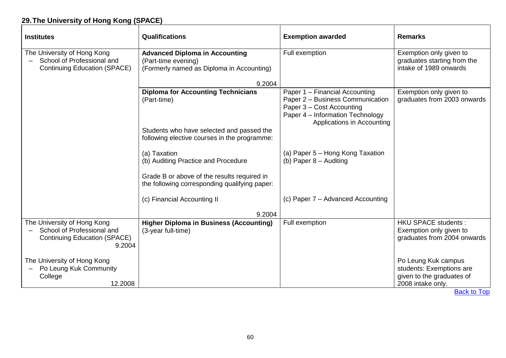# **29.The University of Hong Kong (SPACE)**

| <b>Institutes</b>                                                                                | <b>Qualifications</b>                                                                                     | <b>Exemption awarded</b>                                                                                                                                          | <b>Remarks</b>                                                                                    |
|--------------------------------------------------------------------------------------------------|-----------------------------------------------------------------------------------------------------------|-------------------------------------------------------------------------------------------------------------------------------------------------------------------|---------------------------------------------------------------------------------------------------|
| The University of Hong Kong<br>School of Professional and<br><b>Continuing Education (SPACE)</b> | <b>Advanced Diploma in Accounting</b><br>(Part-time evening)<br>(Formerly named as Diploma in Accounting) | Full exemption                                                                                                                                                    | Exemption only given to<br>graduates starting from the<br>intake of 1989 onwards                  |
|                                                                                                  | 9.2004                                                                                                    |                                                                                                                                                                   |                                                                                                   |
|                                                                                                  | <b>Diploma for Accounting Technicians</b><br>(Part-time)                                                  | Paper 1 - Financial Accounting<br>Paper 2 - Business Communication<br>Paper 3 - Cost Accounting<br>Paper 4 - Information Technology<br>Applications in Accounting | Exemption only given to<br>graduates from 2003 onwards                                            |
|                                                                                                  | Students who have selected and passed the<br>following elective courses in the programme:                 |                                                                                                                                                                   |                                                                                                   |
|                                                                                                  | (a) Taxation<br>(b) Auditing Practice and Procedure                                                       | (a) Paper 5 – Hong Kong Taxation<br>(b) Paper $8 -$ Auditing                                                                                                      |                                                                                                   |
|                                                                                                  | Grade B or above of the results required in<br>the following corresponding qualifying paper:              |                                                                                                                                                                   |                                                                                                   |
|                                                                                                  | (c) Financial Accounting II<br>9.2004                                                                     | (c) Paper 7 - Advanced Accounting                                                                                                                                 |                                                                                                   |
| The University of Hong Kong                                                                      | <b>Higher Diploma in Business (Accounting)</b>                                                            | Full exemption                                                                                                                                                    | <b>HKU SPACE students:</b>                                                                        |
| School of Professional and<br><b>Continuing Education (SPACE)</b><br>9.2004                      | (3-year full-time)                                                                                        |                                                                                                                                                                   | Exemption only given to<br>graduates from 2004 onwards                                            |
| The University of Hong Kong<br>Po Leung Kuk Community<br>College<br>12.2008                      |                                                                                                           |                                                                                                                                                                   | Po Leung Kuk campus<br>students: Exemptions are<br>given to the graduates of<br>2008 intake only. |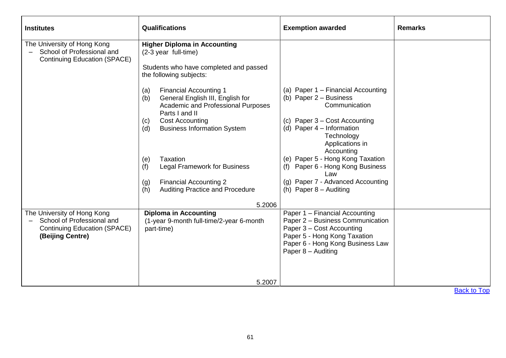| <b>Institutes</b>                                                                                                    | Qualifications                                                                                                                                                                                                                                                                                                                                                                                                                                                                                               | <b>Exemption awarded</b>                                                                                                                                                                                                                                                                                                                        | <b>Remarks</b> |
|----------------------------------------------------------------------------------------------------------------------|--------------------------------------------------------------------------------------------------------------------------------------------------------------------------------------------------------------------------------------------------------------------------------------------------------------------------------------------------------------------------------------------------------------------------------------------------------------------------------------------------------------|-------------------------------------------------------------------------------------------------------------------------------------------------------------------------------------------------------------------------------------------------------------------------------------------------------------------------------------------------|----------------|
| The University of Hong Kong<br>School of Professional and<br><b>Continuing Education (SPACE)</b>                     | <b>Higher Diploma in Accounting</b><br>(2-3 year full-time)<br>Students who have completed and passed<br>the following subjects:<br><b>Financial Accounting 1</b><br>(a)<br>General English III, English for<br>(b)<br>Academic and Professional Purposes<br>Parts I and II<br><b>Cost Accounting</b><br>(c)<br><b>Business Information System</b><br>(d)<br>Taxation<br>(e)<br><b>Legal Framework for Business</b><br>(f)<br><b>Financial Accounting 2</b><br>(g)<br>Auditing Practice and Procedure<br>(h) | (a) Paper 1 - Financial Accounting<br>(b) Paper $2 -$ Business<br>Communication<br>(c) Paper 3 – Cost Accounting<br>(d) Paper 4 - Information<br>Technology<br>Applications in<br>Accounting<br>(e) Paper 5 - Hong Kong Taxation<br>Paper 6 - Hong Kong Business<br>(f)<br>Law<br>(g) Paper 7 - Advanced Accounting<br>(h) Paper $8 -$ Auditing |                |
|                                                                                                                      | 5.2006                                                                                                                                                                                                                                                                                                                                                                                                                                                                                                       |                                                                                                                                                                                                                                                                                                                                                 |                |
| The University of Hong Kong<br>School of Professional and<br><b>Continuing Education (SPACE)</b><br>(Beijing Centre) | <b>Diploma in Accounting</b><br>(1-year 9-month full-time/2-year 6-month<br>part-time)                                                                                                                                                                                                                                                                                                                                                                                                                       | Paper 1 - Financial Accounting<br>Paper 2 - Business Communication<br>Paper 3 - Cost Accounting<br>Paper 5 - Hong Kong Taxation<br>Paper 6 - Hong Kong Business Law<br>Paper 8 - Auditing                                                                                                                                                       |                |
|                                                                                                                      | 5.2007                                                                                                                                                                                                                                                                                                                                                                                                                                                                                                       |                                                                                                                                                                                                                                                                                                                                                 |                |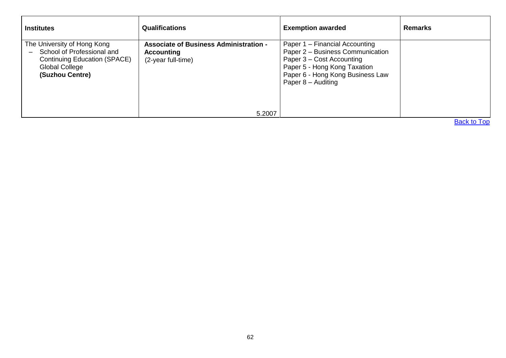| <b>Institutes</b>                                                                                                                                                        | <b>Qualifications</b>                                                                    | <b>Exemption awarded</b>                                                                                                                                                                    | <b>Remarks</b> |
|--------------------------------------------------------------------------------------------------------------------------------------------------------------------------|------------------------------------------------------------------------------------------|---------------------------------------------------------------------------------------------------------------------------------------------------------------------------------------------|----------------|
| The University of Hong Kong<br>School of Professional and<br>$\overline{\phantom{0}}$<br><b>Continuing Education (SPACE)</b><br><b>Global College</b><br>(Suzhou Centre) | <b>Associate of Business Administration -</b><br><b>Accounting</b><br>(2-year full-time) | Paper 1 – Financial Accounting<br>Paper 2 - Business Communication<br>Paper 3 – Cost Accounting<br>Paper 5 - Hong Kong Taxation<br>Paper 6 - Hong Kong Business Law<br>Paper $8 -$ Auditing |                |
|                                                                                                                                                                          | 5.2007                                                                                   |                                                                                                                                                                                             |                |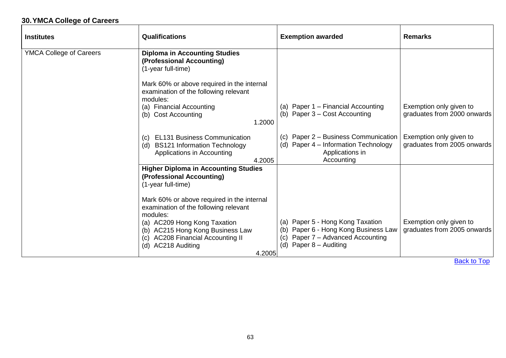# **30.YMCA College of Careers**

| <b>Institutes</b>              | <b>Qualifications</b>                                                                                                       | <b>Exemption awarded</b>                                                                                                                         | <b>Remarks</b>                                         |
|--------------------------------|-----------------------------------------------------------------------------------------------------------------------------|--------------------------------------------------------------------------------------------------------------------------------------------------|--------------------------------------------------------|
| <b>YMCA College of Careers</b> | <b>Diploma in Accounting Studies</b><br>(Professional Accounting)<br>(1-year full-time)                                     |                                                                                                                                                  |                                                        |
|                                | Mark 60% or above required in the internal<br>examination of the following relevant<br>modules:                             |                                                                                                                                                  |                                                        |
|                                | (a) Financial Accounting<br>(b) Cost Accounting<br>1.2000                                                                   | (a) Paper 1 - Financial Accounting<br>Paper 3 – Cost Accounting<br>(b)                                                                           | Exemption only given to<br>graduates from 2000 onwards |
|                                | <b>EL131 Business Communication</b><br>(C)<br>(d) BS121 Information Technology<br>Applications in Accounting<br>4.2005      | Paper 2 - Business Communication<br>(C)<br>Paper 4 – Information Technology<br>(d)<br>Applications in<br>Accounting                              | Exemption only given to<br>graduates from 2005 onwards |
|                                | <b>Higher Diploma in Accounting Studies</b><br>(Professional Accounting)<br>(1-year full-time)                              |                                                                                                                                                  |                                                        |
|                                | Mark 60% or above required in the internal<br>examination of the following relevant<br>modules:                             |                                                                                                                                                  |                                                        |
|                                | (a) AC209 Hong Kong Taxation<br>(b) AC215 Hong Kong Business Law<br>(c) AC208 Financial Accounting II<br>(d) AC218 Auditing | (a) Paper 5 - Hong Kong Taxation<br>Paper 6 - Hong Kong Business Law<br>(b)<br>Paper 7 – Advanced Accounting<br>(c)<br>Paper 8 - Auditing<br>(d) | Exemption only given to<br>graduates from 2005 onwards |
|                                | 4.2005                                                                                                                      |                                                                                                                                                  |                                                        |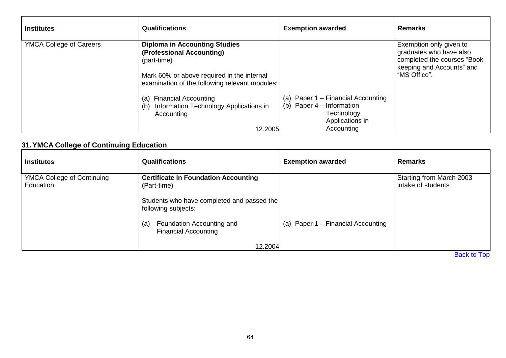| <b>Institutes</b>              | <b>Qualifications</b>                                                                                                                                                                                                                                                               | <b>Exemption awarded</b>                                                                                         | <b>Remarks</b>                                                                                                                  |
|--------------------------------|-------------------------------------------------------------------------------------------------------------------------------------------------------------------------------------------------------------------------------------------------------------------------------------|------------------------------------------------------------------------------------------------------------------|---------------------------------------------------------------------------------------------------------------------------------|
| <b>YMCA College of Careers</b> | <b>Diploma in Accounting Studies</b><br>(Professional Accounting)<br>(part-time)<br>Mark 60% or above required in the internal<br>examination of the following relevant modules:<br>(a) Financial Accounting<br>(b) Information Technology Applications in<br>Accounting<br>12.2005 | (a) Paper 1 – Financial Accounting<br>(b) Paper $4$ – Information<br>Technology<br>Applications in<br>Accounting | Exemption only given to<br>graduates who have also<br>completed the courses "Book-<br>keeping and Accounts" and<br>"MS Office". |

## **31.YMCA College of Continuing Education**

| <b>Institutes</b>                              | <b>Qualifications</b>                                                                                                           | <b>Exemption awarded</b>           | <b>Remarks</b>                                 |
|------------------------------------------------|---------------------------------------------------------------------------------------------------------------------------------|------------------------------------|------------------------------------------------|
| <b>YMCA College of Continuing</b><br>Education | <b>Certificate in Foundation Accounting</b><br>(Part-time)<br>Students who have completed and passed the<br>following subjects: |                                    | Starting from March 2003<br>intake of students |
|                                                | Foundation Accounting and<br>(a)<br><b>Financial Accounting</b><br>12.2004                                                      | (a) Paper 1 – Financial Accounting | _____                                          |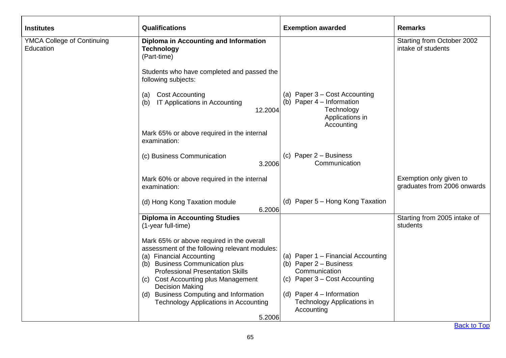| <b>Institutes</b>                              | <b>Qualifications</b>                                                                                                  | <b>Exemption awarded</b>                                                                                    | <b>Remarks</b>                                         |
|------------------------------------------------|------------------------------------------------------------------------------------------------------------------------|-------------------------------------------------------------------------------------------------------------|--------------------------------------------------------|
| <b>YMCA College of Continuing</b><br>Education | Diploma in Accounting and Information<br><b>Technology</b><br>(Part-time)                                              |                                                                                                             | Starting from October 2002<br>intake of students       |
|                                                | Students who have completed and passed the<br>following subjects:                                                      |                                                                                                             |                                                        |
|                                                | (a) Cost Accounting<br>IT Applications in Accounting<br>(b)<br>12.2004                                                 | (a) Paper 3 - Cost Accounting<br>(b) Paper $4$ – Information<br>Technology<br>Applications in<br>Accounting |                                                        |
|                                                | Mark 65% or above required in the internal<br>examination:                                                             |                                                                                                             |                                                        |
|                                                | (c) Business Communication<br>3.2006                                                                                   | (c) Paper $2 -$ Business<br>Communication                                                                   |                                                        |
|                                                | Mark 60% or above required in the internal<br>examination:                                                             |                                                                                                             | Exemption only given to<br>graduates from 2006 onwards |
|                                                | (d) Hong Kong Taxation module<br>6.2006                                                                                | (d) Paper 5 - Hong Kong Taxation                                                                            |                                                        |
|                                                | <b>Diploma in Accounting Studies</b><br>(1-year full-time)                                                             |                                                                                                             | Starting from 2005 intake of<br>students               |
|                                                | Mark 65% or above required in the overall<br>assessment of the following relevant modules:<br>(a) Financial Accounting | (a) Paper 1 - Financial Accounting                                                                          |                                                        |
|                                                | (b) Business Communication plus<br><b>Professional Presentation Skills</b>                                             | (b) Paper $2 -$ Business<br>Communication                                                                   |                                                        |
|                                                | (c) Cost Accounting plus Management<br><b>Decision Making</b>                                                          | (c) Paper 3 - Cost Accounting                                                                               |                                                        |
|                                                | (d) Business Computing and Information<br><b>Technology Applications in Accounting</b><br>5.2006                       | (d) Paper $4$ – Information<br><b>Technology Applications in</b><br>Accounting                              |                                                        |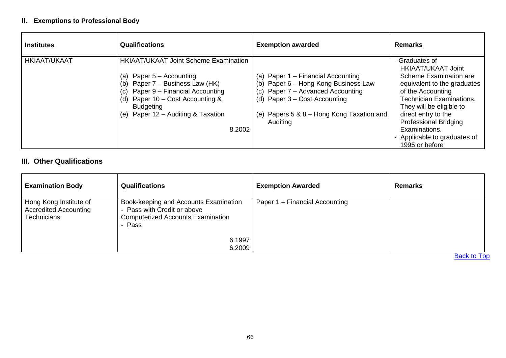### **II. Exemptions to Professional Body**

| <b>Institutes</b>   | <b>Qualifications</b>                                                                                                                                                                                                                                              | <b>Exemption awarded</b>                                                                                                                                                                                       | <b>Remarks</b>                                                                                                                                                                                                                                                                                            |
|---------------------|--------------------------------------------------------------------------------------------------------------------------------------------------------------------------------------------------------------------------------------------------------------------|----------------------------------------------------------------------------------------------------------------------------------------------------------------------------------------------------------------|-----------------------------------------------------------------------------------------------------------------------------------------------------------------------------------------------------------------------------------------------------------------------------------------------------------|
| <b>HKIAAT/UKAAT</b> | <b>HKIAAT/UKAAT Joint Scheme Examination</b><br>(a) Paper $5 -$ Accounting<br>(b) Paper 7 – Business Law (HK)<br>Paper 9 – Financial Accounting<br>(c)<br>(d) Paper $10 - Cost$ Accounting &<br><b>Budgeting</b><br>(e) Paper $12 -$ Auditing & Taxation<br>8.2002 | (a) Paper 1 – Financial Accounting<br>(b) Paper 6 - Hong Kong Business Law<br>Paper 7 - Advanced Accounting<br>(c)<br>(d) Paper $3 - Cost$ Accounting<br>(e) Papers 5 & 8 - Hong Kong Taxation and<br>Auditing | - Graduates of<br><b>HKIAAT/UKAAT Joint</b><br>Scheme Examination are<br>equivalent to the graduates<br>of the Accounting<br>Technician Examinations.<br>They will be eligible to<br>direct entry to the<br><b>Professional Bridging</b><br>Examinations.<br>Applicable to graduates of<br>1995 or before |

## **III. Other Qualifications**

| <b>Examination Body</b>                                                      | <b>Qualifications</b>                                                                                                      | <b>Exemption Awarded</b>       | <b>Remarks</b> |
|------------------------------------------------------------------------------|----------------------------------------------------------------------------------------------------------------------------|--------------------------------|----------------|
| Hong Kong Institute of<br><b>Accredited Accounting</b><br><b>Technicians</b> | Book-keeping and Accounts Examination<br>- Pass with Credit or above<br><b>Computerized Accounts Examination</b><br>- Pass | Paper 1 – Financial Accounting |                |
|                                                                              | 6.1997<br>6.2009                                                                                                           |                                |                |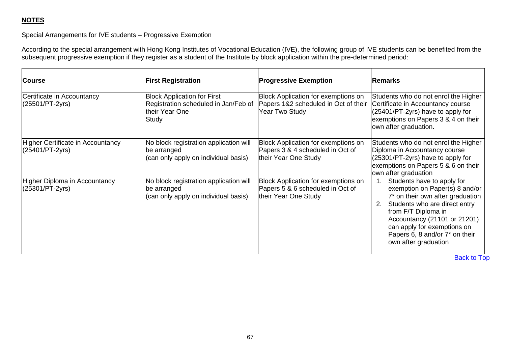## **NOTES**

### Special Arrangements for IVE students – Progressive Exemption

According to the special arrangement with Hong Kong Institutes of Vocational Education (IVE), the following group of IVE students can be benefited from the subsequent progressive exemption if they register as a student of the Institute by block application within the pre-determined period:

| <b>Course</b>                                        | <b>First Registration</b>                                                                             | <b>Progressive Exemption</b>                                                                    | <b>Remarks</b>                                                                                                                                                                                                                                                                          |
|------------------------------------------------------|-------------------------------------------------------------------------------------------------------|-------------------------------------------------------------------------------------------------|-----------------------------------------------------------------------------------------------------------------------------------------------------------------------------------------------------------------------------------------------------------------------------------------|
| Certificate in Accountancy<br>$(25501/PT-2yrs)$      | <b>Block Application for First</b><br>Registration scheduled in Jan/Feb of<br>their Year One<br>Study | Block Application for exemptions on<br>Papers 1&2 scheduled in Oct of their<br>Year Two Study   | Students who do not enrol the Higher<br>Certificate in Accountancy course<br>(25401/PT-2yrs) have to apply for<br>exemptions on Papers 3 & 4 on their<br>own after graduation.                                                                                                          |
| Higher Certificate in Accountancy<br>(25401/PT-2yrs) | No block registration application will<br>be arranged<br>(can only apply on individual basis)         | Block Application for exemptions on<br>Papers 3 & 4 scheduled in Oct of<br>their Year One Study | Students who do not enrol the Higher<br>Diploma in Accountancy course<br>(25301/PT-2yrs) have to apply for<br>exemptions on Papers 5 & 6 on their<br>own after graduation                                                                                                               |
| Higher Diploma in Accountancy<br>(25301/PT-2yrs)     | No block registration application will<br>be arranged<br>(can only apply on individual basis)         | Block Application for exemptions on<br>Papers 5 & 6 scheduled in Oct of<br>their Year One Study | Students have to apply for<br>exemption on Paper(s) 8 and/or<br>7* on their own after graduation<br>Students who are direct entry<br>2.<br>from F/T Diploma in<br>Accountancy (21101 or 21201)<br>can apply for exemptions on<br>Papers 6, 8 and/or 7* on their<br>own after graduation |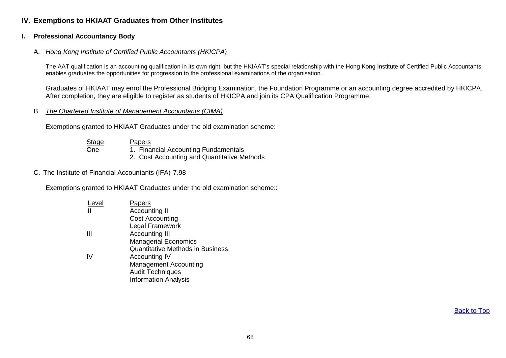### **IV. Exemptions to HKIAAT Graduates from Other Institutes**

#### **I. Professional Accountancy Body**

#### A. *Hong Kong Institute of Certified Public Accountants (HKICPA)*

The AAT qualification is an accounting qualification in its own right, but the HKIAAT's special relationship with the Hong Kong Institute of Certified Public Accountants enables graduates the opportunities for progression to the professional examinations of the organisation.

Graduates of HKIAAT may enrol the Professional Bridging Examination, the Foundation Programme or an accounting degree accredited by HKICPA. After completion, they are eligible to register as students of HKICPA and join its CPA Qualification Programme.

#### B. *The Chartered Institute of Management Accountants (CIMA)*

Exemptions granted to HKIAAT Graduates under the old examination scheme:

| <b>Stage</b> | Papers                                      |
|--------------|---------------------------------------------|
| <b>One</b>   | 1. Financial Accounting Fundamentals        |
|              | 2. Cost Accounting and Quantitative Methods |

#### C. The Institute of Financial Accountants (IFA) 7.98

Exemptions granted to HKIAAT Graduates under the old examination scheme::

| .evel | <u>Papers</u>                           |
|-------|-----------------------------------------|
|       | <b>Accounting II</b>                    |
|       | <b>Cost Accounting</b>                  |
|       | Legal Framework                         |
| Ш     | <b>Accounting III</b>                   |
|       | <b>Managerial Economics</b>             |
|       | <b>Quantitative Methods in Business</b> |
| IV    | Accounting IV                           |
|       | <b>Management Accounting</b>            |
|       | <b>Audit Techniques</b>                 |
|       | <b>Information Analysis</b>             |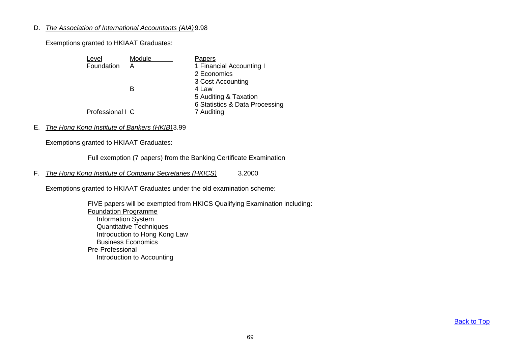#### D. *The Association of International Accountants (AIA)*9.98

Exemptions granted to HKIAAT Graduates:

| Level            | Module | Papers                         |
|------------------|--------|--------------------------------|
| Foundation       | A      | 1 Financial Accounting I       |
|                  |        | 2 Economics                    |
|                  |        | 3 Cost Accounting              |
|                  | R      | 4 Law                          |
|                  |        | 5 Auditing & Taxation          |
|                  |        | 6 Statistics & Data Processing |
| Professional I C |        | 7 Auditing                     |

### E. *The Hong Kong Institute of Bankers (HKIB)*3.99

Exemptions granted to HKIAAT Graduates:

Full exemption (7 papers) from the Banking Certificate Examination

F. *The Hong Kong Institute of Company Secretaries (HKICS)* 3.2000

Exemptions granted to HKIAAT Graduates under the old examination scheme:

FIVE papers will be exempted from HKICS Qualifying Examination including: Foundation Programme Information System Quantitative Techniques Introduction to Hong Kong Law Business Economics Pre-Professional Introduction to Accounting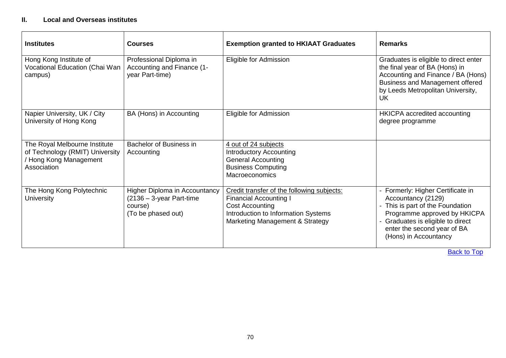#### **II. Local and Overseas institutes**

| <b>Institutes</b>                                                                                       | <b>Courses</b>                                                                                | <b>Exemption granted to HKIAAT Graduates</b>                                                                                                                                    | <b>Remarks</b>                                                                                                                                                                                                         |
|---------------------------------------------------------------------------------------------------------|-----------------------------------------------------------------------------------------------|---------------------------------------------------------------------------------------------------------------------------------------------------------------------------------|------------------------------------------------------------------------------------------------------------------------------------------------------------------------------------------------------------------------|
| Hong Kong Institute of<br>Vocational Education (Chai Wan<br>campus)                                     | Professional Diploma in<br>Accounting and Finance (1-<br>year Part-time)                      | Eligible for Admission                                                                                                                                                          | Graduates is eligible to direct enter<br>the final year of BA (Hons) in<br>Accounting and Finance / BA (Hons)<br><b>Business and Management offered</b><br>by Leeds Metropolitan University,<br><b>UK</b>              |
| Napier University, UK / City<br>University of Hong Kong                                                 | BA (Hons) in Accounting                                                                       | Eligible for Admission                                                                                                                                                          | HKICPA accredited accounting<br>degree programme                                                                                                                                                                       |
| The Royal Melbourne Institute<br>of Technology (RMIT) University<br>Hong Kong Management<br>Association | Bachelor of Business in<br>Accounting                                                         | 4 out of 24 subjects<br><b>Introductory Accounting</b><br><b>General Accounting</b><br><b>Business Computing</b><br>Macroeconomics                                              |                                                                                                                                                                                                                        |
| The Hong Kong Polytechnic<br><b>University</b>                                                          | Higher Diploma in Accountancy<br>$(2136 - 3$ -year Part-time<br>course)<br>(To be phased out) | Credit transfer of the following subjects:<br><b>Financial Accounting I</b><br><b>Cost Accounting</b><br>Introduction to Information Systems<br>Marketing Management & Strategy | - Formerly: Higher Certificate in<br>Accountancy (2129)<br>- This is part of the Foundation<br>Programme approved by HKICPA<br>Graduates is eligible to direct<br>enter the second year of BA<br>(Hons) in Accountancy |